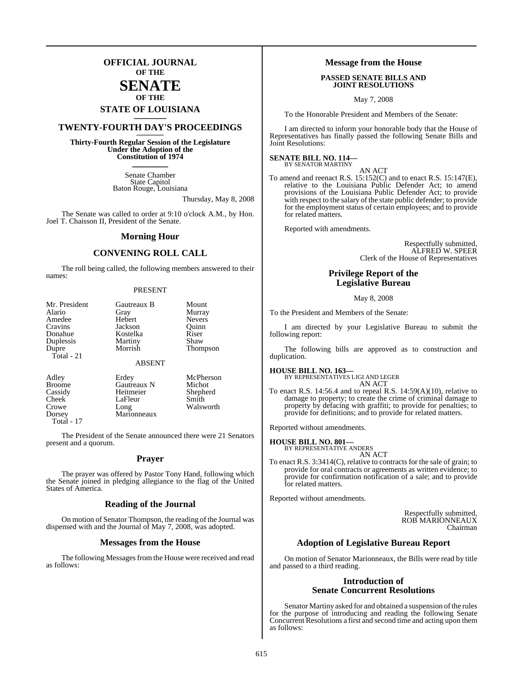## **OFFICIAL JOURNAL OF THE**

## **SENATE OF THE**

# **STATE OF LOUISIANA \_\_\_\_\_\_\_**

## **TWENTY-FOURTH DAY'S PROCEEDINGS \_\_\_\_\_\_\_**

**Thirty-Fourth Regular Session of the Legislature Under the Adoption of the Constitution of 1974 \_\_\_\_\_\_\_**

> Senate Chamber State Capitol Baton Rouge, Louisiana

> > Thursday, May 8, 2008

The Senate was called to order at 9:10 o'clock A.M., by Hon. Joel T. Chaisson II, President of the Senate.

#### **Morning Hour**

#### **CONVENING ROLL CALL**

The roll being called, the following members answered to their names:

#### PRESENT

| Mr. President | Gautreaux B   | Mount         |
|---------------|---------------|---------------|
| Alario        | Gray          | Murray        |
| Amedee        | Hebert        | <b>Nevers</b> |
| Cravins       | Jackson       | Quinn         |
| Donahue       | Kostelka      | Riser         |
| Duplessis     | Martiny       | Shaw          |
| Dupre         | Morrish       | Thompson      |
| Total $-21$   |               |               |
|               | <b>ABSENT</b> |               |
| Adley         | Erdey         | McPherson     |
| <b>Broome</b> | Gautreaux N   | Michot        |
| Cassidy       | Heitmeier     | Shepherd      |
| Cheek         | LaFleur       | Smith         |

Crowe Long Walsworth<br>Dorsey Marionneaux Marionneaux

Total - 17

The President of the Senate announced there were 21 Senators present and a quorum.

#### **Prayer**

The prayer was offered by Pastor Tony Hand, following which the Senate joined in pledging allegiance to the flag of the United States of America.

#### **Reading of the Journal**

On motion of Senator Thompson, the reading of the Journal was dispensed with and the Journal of May 7, 2008, was adopted.

#### **Messages from the House**

The following Messages from the House were received and read as follows:

#### **Message from the House**

#### **PASSED SENATE BILLS AND JOINT RESOLUTIONS**

May 7, 2008

To the Honorable President and Members of the Senate:

I am directed to inform your honorable body that the House of Representatives has finally passed the following Senate Bills and Joint Resolutions:

#### **SENATE BILL NO. 114—** BY SENATOR MARTINY

AN ACT

To amend and reenact R.S. 15:152(C) and to enact R.S. 15:147(E), relative to the Louisiana Public Defender Act; to amend provisions of the Louisiana Public Defender Act; to provide with respect to the salary of the state public defender; to provide for the employment status of certain employees; and to provide for related matters.

Reported with amendments.

Respectfully submitted, ALFRED W. SPEER Clerk of the House of Representatives

#### **Privilege Report of the Legislative Bureau**

May 8, 2008

To the President and Members of the Senate:

I am directed by your Legislative Bureau to submit the following report:

The following bills are approved as to construction and duplication.

**HOUSE BILL NO. 163—** BY REPRESENTATIVES LIGI AND LEGER AN ACT

To enact R.S. 14:56.4 and to repeal R.S. 14:59(A)(10), relative to damage to property; to create the crime of criminal damage to property by defacing with graffiti; to provide for penalties; to provide for definitions; and to provide for related matters.

Reported without amendments.

#### **HOUSE BILL NO. 801—**

BY REPRESENTATIVE ANDERS AN ACT

To enact R.S. 3:3414(C), relative to contracts for the sale of grain; to provide for oral contracts or agreements as written evidence; to provide for confirmation notification of a sale; and to provide for related matters.

Reported without amendments.

Respectfully submitted, ROB MARIONNEAUX Chairman

#### **Adoption of Legislative Bureau Report**

On motion of Senator Marionneaux, the Bills were read by title and passed to a third reading.

#### **Introduction of Senate Concurrent Resolutions**

Senator Martiny asked for and obtained a suspension of the rules for the purpose of introducing and reading the following Senate Concurrent Resolutions a first and second time and acting upon them as follows: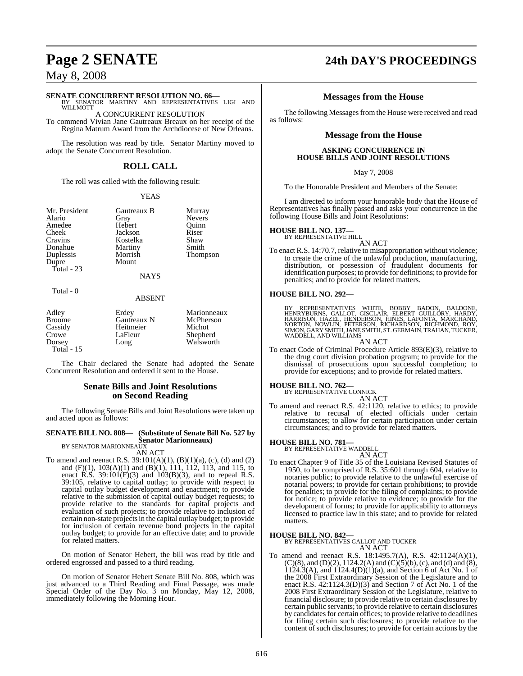# **SENATE CONCURRENT RESOLUTION NO. 66—** BY SENATOR MARTINY AND REPRESENTATIVES LIGI AND

**WILLMOTT** A CONCURRENT RESOLUTION

To commend Vivian Jane Gautreaux Breaux on her receipt of the Regina Matrum Award from the Archdiocese of New Orleans.

The resolution was read by title. Senator Martiny moved to adopt the Senate Concurrent Resolution.

#### **ROLL CALL**

The roll was called with the following result:

#### YEAS

Nevers<br>Ouinn

Thompson

| Mr. Presiden |
|--------------|
| Alario       |
| Amedee       |
| Cheek        |
| Cravins      |
| Donahue      |
| Duplessis    |
| Dupre        |
| Total - 23   |
|              |

1 **Cautreaux B** Murray<br>Gray Nevers Hebert Quinn<br>Lackson Riser Jackson Kostelka Shaw<br>Martiny Smith Martiny<br>Morrish Mount

**NAYS** 

#### Total - 0

#### ABSENT

| Adley         | Erdey       | Marionneaux |
|---------------|-------------|-------------|
| <b>Broome</b> | Gautreaux N | McPherson   |
| Cassidy       | Heitmeier   | Michot      |
| Crowe         | LaFleur     | Shepherd    |
| Dorsey        | Long        | Walsworth   |
| Total $-15$   |             |             |

The Chair declared the Senate had adopted the Senate Concurrent Resolution and ordered it sent to the House.

#### **Senate Bills and Joint Resolutions on Second Reading**

The following Senate Bills and Joint Resolutions were taken up and acted upon as follows:

## **SENATE BILL NO. 808— (Substitute of Senate Bill No. 527 by Senator Marionneaux)** BY SENATOR MARIONNEAUX

#### AN ACT

To amend and reenact R.S.  $39:101(A)(1)$ ,  $(B)(1)(a)$ ,  $(c)$ ,  $(d)$  and  $(2)$ and (F)(1), 103(A)(1) and (B)(1), 111, 112, 113, and 115, to enact  $\hat{R}$ .S. 39:101(F)(3) and 103(B)(3), and to repeal  $\hat{R}$ .S. 39:105, relative to capital outlay; to provide with respect to capital outlay budget development and enactment; to provide relative to the submission of capital outlay budget requests; to provide relative to the standards for capital projects and evaluation of such projects; to provide relative to inclusion of certain non-state projectsin the capital outlay budget; to provide for inclusion of certain revenue bond projects in the capital outlay budget; to provide for an effective date; and to provide for related matters.

On motion of Senator Hebert, the bill was read by title and ordered engrossed and passed to a third reading.

On motion of Senator Hebert Senate Bill No. 808, which was just advanced to a Third Reading and Final Passage, was made Special Order of the Day No. 3 on Monday, May 12, 2008, immediately following the Morning Hour.

# **Page 2 SENATE 24th DAY'S PROCEEDINGS**

#### **Messages from the House**

The following Messages from the House were received and read as follows:

#### **Message from the House**

#### **ASKING CONCURRENCE IN HOUSE BILLS AND JOINT RESOLUTIONS**

May 7, 2008

To the Honorable President and Members of the Senate:

I am directed to inform your honorable body that the House of Representatives has finally passed and asks your concurrence in the following House Bills and Joint Resolutions:

# **HOUSE BILL NO. 137—** BY REPRESENTATIVE HILL

AN ACT

To enact R.S. 14:70.7, relative to misappropriation without violence; to create the crime of the unlawful production, manufacturing, distribution, or possession of fraudulent documents for identification purposes; to provide for definitions; to provide for penalties; and to provide for related matters.

#### **HOUSE BILL NO. 292—**

BY REPRESENTATIVES WHITE, BOBBY BADON, BALDONE,<br>HENRYBURNS, GALLOT, GISCLAIR, ELBERT GUILLORY, HARDY,<br>HARRISON, HAZEL, HENDERSON, HINES, LAFONTA, MARCHAND,<br>NORTON, NOWLIN, PETERSON, RICHARDSON, RICHMOND, ROY,<br>SIMON,GARYSMI

AN ACT To enact Code of Criminal Procedure Article 893(E)(3), relative to the drug court division probation program; to provide for the dismissal of prosecutions upon successful completion; to provide for exceptions; and to provide for related matters.

**HOUSE BILL NO. 762—** BY REPRESENTATIVE CONNICK AN ACT

To amend and reenact R.S. 42:1120, relative to ethics; to provide

relative to circumstances; to allow for certain participation under certain circumstances; and to provide for related matters.

#### **HOUSE BILL NO. 781—**

BY REPRESENTATIVE WADDELL

- AN ACT
- To enact Chapter 9 of Title 35 of the Louisiana Revised Statutes of 1950, to be comprised of R.S. 35:601 through 604, relative to notaries public; to provide relative to the unlawful exercise of notarial powers; to provide for certain prohibitions; to provide for penalties; to provide for the filing of complaints; to provide for notice; to provide relative to evidence; to provide for the development of forms; to provide for applicability to attorneys licensed to practice law in this state; and to provide for related matters.

#### **HOUSE BILL NO. 842—**

BY REPRESENTATIVES GALLOT AND TUCKER AN ACT

To amend and reenact R.S. 18:1495.7(A), R.S. 42:1124(A)(1),  $(C)(8)$ , and  $(D)(2)$ , 1124.2(A) and  $(C)(5)(b)$ , (c), and (d) and  $(8)$ ,  $1124.3(A)$ , and  $1124.4(D)(1)(a)$ , and Section 6 of Act No. 1 of the 2008 First Extraordinary Session of the Legislature and to enact R.S. 42:1124.3(D)(3) and Section 7 of Act No. 1 of the 2008 First Extraordinary Session of the Legislature, relative to financial disclosure; to provide relative to certain disclosures by certain public servants; to provide relative to certain disclosures by candidates for certain offices; to provide relative to deadlines for filing certain such disclosures; to provide relative to the content of such disclosures; to provide for certain actions by the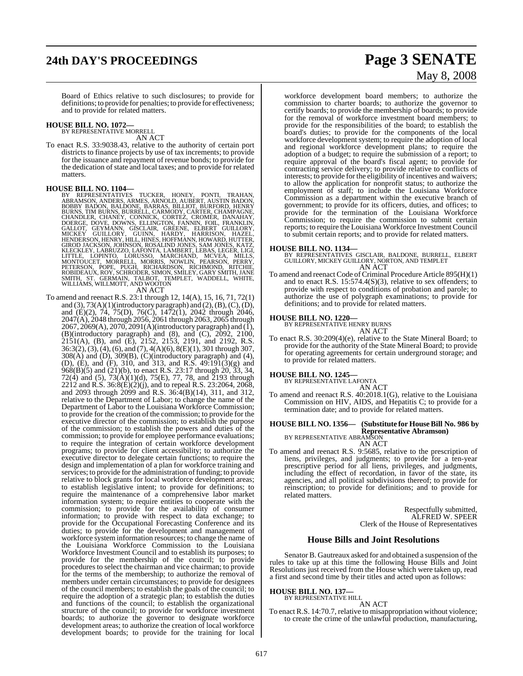# **24th DAY'S PROCEEDINGS Page 3 SENATE**

Board of Ethics relative to such disclosures; to provide for definitions; to provide for penalties; to provide for effectiveness; and to provide for related matters.

# **HOUSE BILL NO. 1072—** BY REPRESENTATIVE MORRELL

AN ACT

To enact R.S. 33:9038.43, relative to the authority of certain port districts to finance projects by use of tax increments; to provide for the issuance and repayment of revenue bonds; to provide for the dedication of state and local taxes; and to provide for related matters.

HOUSE BILL NO. 1104—<br>
BY REPRESENTATIVES TUCKER, HONEY, PONTI, TRAHAN,<br>
BY REPRESENTATIVES TUCKER, HONEY, PONTI, TRAHAN,<br>
BOBBY BADON, BALDONE, BARRAS, BILLIOT, BURFORD, HENRY<br>
BURNS, TIM BURNS, BURNELL, CARMODY, CARTER, C

To amend and reenact R.S. 23:1 through 12, 14(A), 15, 16, 71, 72(1) and  $(3)$ ,  $73(A)(1)$ (introductory paragraph) and  $(2)$ ,  $(B)$ ,  $(C)$ ,  $(D)$ , and (E)(2), 74, 75(D), 76(C), 1472(1), 2042 through 2046, 2047(A), 2048 through 2056, 2061 through 2063, 2065 through 2067, 2069(A), 2070, 2091(A)(introductory paragraph) and  $(\tilde{I})$ , (B)(introductory paragraph) and (8), and  $(C)$ , 2092, 2100, 2151(A), (B), and (E), 2152, 2153, 2191, and 2192, R.S. 36:3(2), (3), (4), (6), and (7), 4(A)(6), 8(E)(1), 301 through 307, 308(A) and (D), 309(B), (C)(introductory paragraph) and (4), (D), (E), and (F), 310, and 313, and R.S. 49:191(3)(g) and 968(B)(5) and (21)(b), to enact R.S. 23:17 through 20, 33, 34, 72(4) and (5), 73(A)(1)(d), 75(E), 77, 78, and 2193 through 2212 and R.S.  $36:\dot{8}(E)(2)(i)$ , and to repeal R.S. 23:2064, 2068, and 2093 through 2099 and R.S. 36:4(B)(14), 311, and 312, relative to the Department of Labor; to change the name of the Department of Labor to the Louisiana Workforce Commission; to provide for the creation of the commission; to provide for the executive director of the commission; to establish the purpose of the commission; to establish the powers and duties of the commission; to provide for employee performance evaluations; to require the integration of certain workforce development programs; to provide for client accessibility; to authorize the executive director to delegate certain functions; to require the design and implementation of a plan for workforce training and services; to provide for the administration of funding; to provide relative to block grants for local workforce development areas; to establish legislative intent; to provide for definitions; to require the maintenance of a comprehensive labor market information system; to require entities to cooperate with the commission; to provide for the availability of consumer information; to provide with respect to data exchange; to provide for the Occupational Forecasting Conference and its duties; to provide for the development and management of workforce system information resources; to change the name of the Louisiana Workforce Commission to the Louisiana Workforce Investment Council and to establish its purposes; to provide for the membership of the council; to provide procedures to select the chairman and vice chairman; to provide for the terms of the membership; to authorize the removal of members under certain circumstances; to provide for designees of the council members; to establish the goals of the council; to require the adoption of a strategic plan; to establish the duties and functions of the council; to establish the organizational structure of the council; to provide for workforce investment boards; to authorize the governor to designate workforce development areas; to authorize the creation of local workforce development boards; to provide for the training for local

# May 8, 2008

workforce development board members; to authorize the commission to charter boards; to authorize the governor to certify boards; to provide the membership of boards; to provide for the removal of workforce investment board members; to provide for the responsibilities of the board; to establish the board's duties; to provide for the components of the local workforce development system; to require the adoption of local and regional workforce development plans; to require the adoption of a budget; to require the submission of a report; to require approval of the board's fiscal agent; to provide for contracting service delivery; to provide relative to conflicts of interests; to provide for the eligibility of incentives and waivers; to allow the application for nonprofit status; to authorize the employment of staff; to include the Louisiana Workforce Commission as a department within the executive branch of government; to provide for its officers, duties, and offices; to provide for the termination of the Louisiana Workforce Commission; to require the commission to submit certain reports; to require the Louisiana Workforce Investment Council to submit certain reports; and to provide for related matters.

#### **HOUSE BILL NO. 1134—**

BY REPRESENTATIVES GISCLAIR, BALDONE, BURRELL, ELBERT GUILLORY, MICKEY GUILLORY, NORTON, AND TEMPLET AN ACT

To amend and reenact Code of Criminal Procedure Article 895(H)(1) and to enact R.S. 15:574.4(S)(3), relative to sex offenders; to provide with respect to conditions of probation and parole; to authorize the use of polygraph examinations; to provide for definitions; and to provide for related matters.

# **HOUSE BILL NO. 1220—** BY REPRESENTATIVE HENRY BURNS

AN ACT

To enact R.S. 30:209(4)(e), relative to the State Mineral Board; to provide for the authority of the State Mineral Board; to provide for operating agreements for certain underground storage; and to provide for related matters.

# **HOUSE BILL NO. 1245—** BY REPRESENTATIVE LAFONTA

AN ACT To amend and reenact R.S. 40:2018.1(G), relative to the Louisiana Commission on HIV, AIDS, and Hepatitis C; to provide for a termination date; and to provide for related matters.

## **HOUSE BILL NO. 1356— (Substitute for HouseBill No. 986 by Representative Abramson)** BY REPRESENTATIVE ABRAMSON

AN ACT To amend and reenact R.S. 9:5685, relative to the prescription of liens, privileges, and judgments; to provide for a ten-year prescriptive period for all liens, privileges, and judgments, including the effect of recordation, in favor of the state, its agencies, and all political subdivisions thereof; to provide for reinscription; to provide for definitions; and to provide for related matters.

> Respectfully submitted, ALFRED W. SPEER Clerk of the House of Representatives

#### **House Bills and Joint Resolutions**

Senator B. Gautreaux asked for and obtained a suspension of the rules to take up at this time the following House Bills and Joint Resolutions just received from the House which were taken up, read a first and second time by their titles and acted upon as follows:

# **HOUSE BILL NO. 137—** BY REPRESENTATIVE HILL

AN ACT

To enact R.S. 14:70.7, relative to misappropriation without violence; to create the crime of the unlawful production, manufacturing,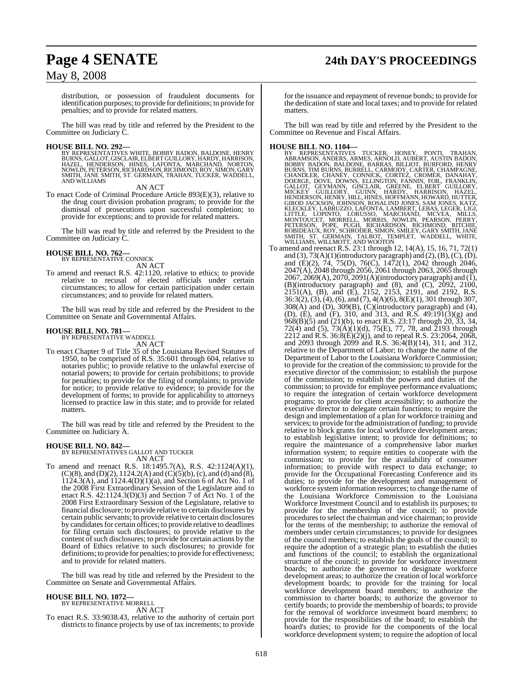# **Page 4 SENATE 24th DAY'S PROCEEDINGS**

## May 8, 2008

distribution, or possession of fraudulent documents for identification purposes; to provide for definitions; to provide for penalties; and to provide for related matters.

The bill was read by title and referred by the President to the Committee on Judiciary C.

#### **HOUSE BILL NO. 292—**

BY REPRESENTATIVES WHITE, BOBBY BADON, BALDONE, HENRY<br>BURNS, GALLOT, GISCLAIR, ELBERT GUILLORY, HARDY, HARRISON,<br>HAZEL, HENDERSON, HINES, LAFONTA, MARCHAND, NORTON,<br>NOWLIN, PETERSON,RICHARDSON,RICHMOND,ROY,SIMON,GARY SMITH, JANE SMITH, ST. GERMAIN, TRAHAN, TUCKER, WADDELL, AND WILLIAMS

AN ACT

To enact Code of Criminal Procedure Article 893(E)(3), relative to the drug court division probation program; to provide for the dismissal of prosecutions upon successful completion; to provide for exceptions; and to provide for related matters.

The bill was read by title and referred by the President to the Committee on Judiciary C.

# **HOUSE BILL NO. 762—** BY REPRESENTATIVE CONNICK

AN ACT

To amend and reenact R.S. 42:1120, relative to ethics; to provide relative to recusal of elected officials under certain circumstances; to allow for certain participation under certain circumstances; and to provide for related matters.

The bill was read by title and referred by the President to the Committee on Senate and Governmental Affairs.

#### **HOUSE BILL NO. 781—** BY REPRESENTATIVE WADDELL

AN ACT

To enact Chapter 9 of Title 35 of the Louisiana Revised Statutes of 1950, to be comprised of R.S. 35:601 through 604, relative to notaries public; to provide relative to the unlawful exercise of notarial powers; to provide for certain prohibitions; to provide for penalties; to provide for the filing of complaints; to provide for notice; to provide relative to evidence; to provide for the development of forms; to provide for applicability to attorneys licensed to practice law in this state; and to provide for related matters.

The bill was read by title and referred by the President to the Committee on Judiciary A.

# **HOUSE BILL NO. 842—** BY REPRESENTATIVES GALLOT AND TUCKER

AN ACT

To amend and reenact R.S. 18:1495.7(A), R.S. 42:1124(A)(1),  $(C)(8)$ , and  $(D)(2)$ , 1124.2(A) and  $(C)(5)(b)$ , (c), and (d) and (8), 1124.3(A), and 1124.4(D)(1)(a), and Section 6 of Act No. 1 of the 2008 First Extraordinary Session of the Legislature and to enact R.S. 42:1124.3(D)(3) and Section 7 of Act No. 1 of the 2008 First Extraordinary Session of the Legislature, relative to financial disclosure; to provide relative to certain disclosures by certain public servants; to provide relative to certain disclosures by candidates for certain offices; to provide relative to deadlines for filing certain such disclosures; to provide relative to the content of such disclosures; to provide for certain actions by the Board of Ethics relative to such disclosures; to provide for definitions; to provide for penalties; to provide for effectiveness; and to provide for related matters.

The bill was read by title and referred by the President to the Committee on Senate and Governmental Affairs.

#### **HOUSE BILL NO. 1072—** BY REPRESENTATIVE MORRELL

AN ACT

To enact R.S. 33:9038.43, relative to the authority of certain port districts to finance projects by use of tax increments; to provide

for the issuance and repayment of revenue bonds; to provide for the dedication of state and local taxes; and to provide for related matters.

The bill was read by title and referred by the President to the Committee on Revenue and Fiscal Affairs.

HOUSE BILL NO. 1104—<br>
BY REPRESENTATIVES TUCKER, HONEY, PONTI, TRAHAN,<br>
BY REPRESENTATIVES TUCKER, HONEY, PONTI, TRAHAN,<br>
BOBBY BADON, BALDONE, BARRAS, BILLIOT, BURFORD, HENRY<br>
BURNS, TIM BURNS, BURGLIL, CARMODY, CARTER, C

and  $(3)$ ,  $73(A)(1)$ (introductory paragraph) and  $(2)$ ,  $(B)$ ,  $(C)$ ,  $(D)$ , and (E)(2), 74, 75(D), 76(C), 1472(1), 2042 through 2046, 2047(A), 2048 through 2056, 2061 through 2063, 2065 through  $2067, 2069(A), 2070, 2091(A)$ (introductory paragraph) and (1), (B)(introductory paragraph) and (8), and  $(C)$ ,  $2092$ ,  $2100$ , 2151(A), (B), and (E), 2152, 2153, 2191, and 2192, R.S. 36:3(2), (3), (4), (6), and (7), 4(A)(6), 8(E)(1), 301 through 307, 308(A) and (D), 309(B), (C)(introductory paragraph) and (4), (D), (E), and (F), 310, and 313, and R.S. 49:191(3)(g) and  $968(B)(5)$  and  $(21)(b)$ , to enact R.S. 23:17 through 20, 33, 34, 72(4) and (5), 73(A)(1)(d), 75(E), 77, 78, and 2193 through 2212 and R.S. 36:8(E)(2)(j), and to repeal R.S. 23:2064, 2068, and 2093 through 2099 and R.S. 36:4(B)(14), 311, and 312, relative to the Department of Labor; to change the name of the Department of Labor to the Louisiana Workforce Commission; to provide for the creation of the commission; to provide for the executive director of the commission; to establish the purpose of the commission; to establish the powers and duties of the commission; to provide for employee performance evaluations; to require the integration of certain workforce development programs; to provide for client accessibility; to authorize the executive director to delegate certain functions; to require the design and implementation of a plan for workforce training and services; to provide for the administration of funding; to provide relative to block grants for local workforce development areas; to establish legislative intent; to provide for definitions; to require the maintenance of a comprehensive labor market information system; to require entities to cooperate with the commission; to provide for the availability of consumer information; to provide with respect to data exchange; to provide for the Occupational Forecasting Conference and its duties; to provide for the development and management of workforce system information resources; to change the name of the Louisiana Workforce Commission to the Louisiana Workforce Investment Council and to establish its purposes; to provide for the membership of the council; to provide procedures to select the chairman and vice chairman; to provide for the terms of the membership; to authorize the removal of members under certain circumstances; to provide for designees of the council members; to establish the goals of the council; to require the adoption of a strategic plan; to establish the duties and functions of the council; to establish the organizational structure of the council; to provide for workforce investment boards; to authorize the governor to designate workforce development areas; to authorize the creation of local workforce development boards; to provide for the training for local workforce development board members; to authorize the commission to charter boards; to authorize the governor to certify boards; to provide the membership of boards; to provide for the removal of workforce investment board members; to provide for the responsibilities of the board; to establish the board's duties; to provide for the components of the local workforce development system; to require the adoption of local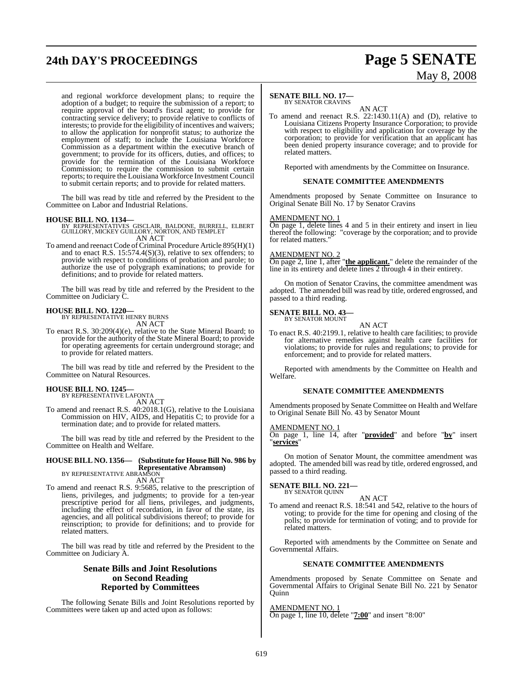# **24th DAY'S PROCEEDINGS Page 5 SENATE**

# May 8, 2008

and regional workforce development plans; to require the adoption of a budget; to require the submission of a report; to require approval of the board's fiscal agent; to provide for contracting service delivery; to provide relative to conflicts of interests; to provide for the eligibility of incentives and waivers; to allow the application for nonprofit status; to authorize the employment of staff; to include the Louisiana Workforce Commission as a department within the executive branch of government; to provide for its officers, duties, and offices; to provide for the termination of the Louisiana Workforce Commission; to require the commission to submit certain reports; to require the Louisiana Workforce Investment Council to submit certain reports; and to provide for related matters.

The bill was read by title and referred by the President to the Committee on Labor and Industrial Relations.

**HOUSE BILL NO. 1134—** BY REPRESENTATIVES GISCLAIR, BALDONE, BURRELL, ELBERT GUILLORY, MICKEY GUILLORY, NORTON, AND TEMPLET AN ACT

To amend and reenact Code of Criminal Procedure Article 895(H)(1) and to enact R.S.  $15:574.4(S)(3)$ , relative to sex offenders; to provide with respect to conditions of probation and parole; to authorize the use of polygraph examinations; to provide for definitions; and to provide for related matters.

The bill was read by title and referred by the President to the Committee on Judiciary C.

#### **HOUSE BILL NO. 1220—**

BY REPRESENTATIVE HENRY BURNS AN ACT

To enact R.S. 30:209(4)(e), relative to the State Mineral Board; to provide for the authority of the State Mineral Board; to provide for operating agreements for certain underground storage; and to provide for related matters.

The bill was read by title and referred by the President to the Committee on Natural Resources.

#### **HOUSE BILL NO. 1245—**

BY REPRESENTATIVE LAFONTA AN ACT

To amend and reenact R.S. 40:2018.1(G), relative to the Louisiana Commission on HIV, AIDS, and Hepatitis C; to provide for a termination date; and to provide for related matters.

The bill was read by title and referred by the President to the Committee on Health and Welfare.

#### **HOUSE BILL NO. 1356— (Substitute for HouseBill No. 986 by Representative Abramson)** BY REPRESENTATIVE ABRAMSON

AN ACT

To amend and reenact R.S. 9:5685, relative to the prescription of liens, privileges, and judgments; to provide for a ten-year prescriptive period for all liens, privileges, and judgments, including the effect of recordation, in favor of the state, its agencies, and all political subdivisions thereof; to provide for reinscription; to provide for definitions; and to provide for related matters.

The bill was read by title and referred by the President to the Committee on Judiciary A.

#### **Senate Bills and Joint Resolutions on Second Reading Reported by Committees**

The following Senate Bills and Joint Resolutions reported by Committees were taken up and acted upon as follows:

### **SENATE BILL NO. 17—**

BY SENATOR CRAVINS AN ACT

To amend and reenact R.S. 22:1430.11(A) and (D), relative to Louisiana Citizens Property Insurance Corporation; to provide with respect to eligibility and application for coverage by the corporation; to provide for verification that an applicant has been denied property insurance coverage; and to provide for related matters.

Reported with amendments by the Committee on Insurance.

#### **SENATE COMMITTEE AMENDMENTS**

Amendments proposed by Senate Committee on Insurance to Original Senate Bill No. 17 by Senator Cravins

#### AMENDMENT NO. 1

On page 1, delete lines 4 and 5 in their entirety and insert in lieu thereof the following: "coverage by the corporation; and to provide for related matters."

#### AMENDMENT NO. 2

On page 2, line 1, after "**the applicant.**" delete the remainder of the line in its entirety and delete lines 2 through 4 in their entirety.

On motion of Senator Cravins, the committee amendment was adopted. The amended bill was read by title, ordered engrossed, and passed to a third reading.

#### **SENATE BILL NO. 43—** BY SENATOR MOUNT

AN ACT

To enact R.S. 40:2199.1, relative to health care facilities; to provide for alternative remedies against health care facilities for violations; to provide for rules and regulations; to provide for enforcement; and to provide for related matters.

Reported with amendments by the Committee on Health and Welfare.

#### **SENATE COMMITTEE AMENDMENTS**

Amendments proposed by Senate Committee on Health and Welfare to Original Senate Bill No. 43 by Senator Mount

#### AMENDMENT NO. 1

On page 1, line 14, after "**provided**" and before "**by**" insert "**services**"

On motion of Senator Mount, the committee amendment was adopted. The amended bill was read by title, ordered engrossed, and passed to a third reading.

#### **SENATE BILL NO. 221—** BY SENATOR QUINN

AN ACT To amend and reenact R.S. 18:541 and 542, relative to the hours of voting; to provide for the time for opening and closing of the polls; to provide for termination of voting; and to provide for related matters.

Reported with amendments by the Committee on Senate and Governmental Affairs.

#### **SENATE COMMITTEE AMENDMENTS**

Amendments proposed by Senate Committee on Senate and Governmental Affairs to Original Senate Bill No. 221 by Senator **Ouinn** 

AMENDMENT NO. 1 On page 1, line 10, delete "**7:00**" and insert "8:00"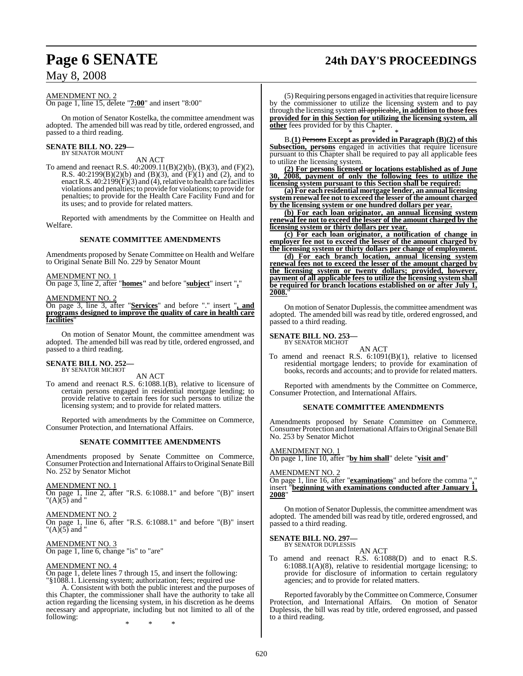# **Page 6 SENATE 24th DAY'S PROCEEDINGS**

AMENDMENT NO. 2 On page 1, line 15, delete "**7:00**" and insert "8:00"

On motion of Senator Kostelka, the committee amendment was adopted. The amended bill was read by title, ordered engrossed, and passed to a third reading.

#### **SENATE BILL NO. 229—** BY SENATOR MOUNT

AN ACT

To amend and reenact R.S. 40:2009.11(B)(2)(b), (B)(3), and (F)(2), R.S. 40:2199(B)(2)(b) and (B)(3), and (F)(1) and (2), and to enact R.S.  $40:2199(F)(3)$  and (4), relative to health care facilities violations and penalties; to provide for violations; to provide for penalties; to provide for the Health Care Facility Fund and for its uses; and to provide for related matters.

Reported with amendments by the Committee on Health and Welfare.

#### **SENATE COMMITTEE AMENDMENTS**

Amendments proposed by Senate Committee on Health and Welfare to Original Senate Bill No. 229 by Senator Mount

#### AMENDMENT NO. 1

On page 3, line 2, after "**homes"** and before "**subject**" insert "**,**"

AMEND<u>MENT NO. 2</u>

On page 3, line 3, after "**Services**" and before "." insert "**, and programs designed to improve the quality of care in health care facilities**"

On motion of Senator Mount, the committee amendment was adopted. The amended bill was read by title, ordered engrossed, and passed to a third reading.

#### **SENATE BILL NO. 252—** BY SENATOR MICHOT

AN ACT

To amend and reenact R.S. 6:1088.1(B), relative to licensure of certain persons engaged in residential mortgage lending; to provide relative to certain fees for such persons to utilize the licensing system; and to provide for related matters.

Reported with amendments by the Committee on Commerce, Consumer Protection, and International Affairs.

#### **SENATE COMMITTEE AMENDMENTS**

Amendments proposed by Senate Committee on Commerce, Consumer Protection and International Affairs to Original Senate Bill No. 252 by Senator Michot

#### AMENDMENT NO. 1

On page 1, line 2, after "R.S. 6:1088.1" and before "(B)" insert " $(A)$  $(5)$  and "

AMENDMENT NO. 2 On page 1, line 6, after "R.S. 6:1088.1" and before "(B)" insert

" $(A)$ (5) and " AMENDMENT NO. 3

On page 1, line 6, change "is" to "are"

#### AMENDMENT NO. 4

On page 1, delete lines 7 through 15, and insert the following:

"§1088.1. Licensing system; authorization; fees; required use A. Consistent with both the public interest and the purposes of this Chapter, the commissioner shall have the authority to take all action regarding the licensing system, in his discretion as he deems necessary and appropriate, including but not limited to all of the following:

\* \* \*

(5)Requiring persons engaged in activities that require licensure by the commissioner to utilize the licensing system and to pay through the licensing system all applicable**, in addition to those fees provided for in this Section for utilizing the licensing system, all other** fees provided for by this Chapter.

\* \* \* B.**(1)** Persons **Except as provided in Paragraph (B)(2) of this Subsection, persons** engaged in activities that require licensure pursuant to this Chapter shall be required to pay all applicable fees to utilize the licensing system.

**(2) For persons licensed or locations established as of June 30, 2008, payment of only the following fees to utilize the licensing system pursuant to this Section shall be required:**

**(a) For each residential mortgage lender, an annual licensing system renewal fee not to exceed the lesser of the amount charged by the licensing system or one hundred dollars per year.**

**(b) For each loan originator, an annual licensing system renewal fee not to exceed the lesser of the amount charged by the licensing system or thirty dollars per year.**

**(c) For each loan originator, a notification of change in employer fee not to exceed the lesser of the amount charged by the licensing system or thirty dollars per change of employment.**

**(d) For each branch location, annual licensing system renewal fees not to exceed the lesser of the amount charged by the licensing system or twenty dollars; provided, however, payment of all applicable fees to utilize the licensing system shall be required for branch locations established on or after July 1, 2008.**"

On motion of Senator Duplessis, the committee amendment was adopted. The amended bill was read by title, ordered engrossed, and passed to a third reading.

# **SENATE BILL NO. 253—** BY SENATOR MICHOT

AN ACT

To amend and reenact R.S. 6:1091(B)(1), relative to licensed residential mortgage lenders; to provide for examination of books, records and accounts; and to provide for related matters.

Reported with amendments by the Committee on Commerce, Consumer Protection, and International Affairs.

#### **SENATE COMMITTEE AMENDMENTS**

Amendments proposed by Senate Committee on Commerce, Consumer Protection and International Affairs to Original Senate Bill No. 253 by Senator Michot

#### AMENDMENT NO. 1

On page 1, line 10, after "**by him shall**" delete "**visit and**"

#### AMENDMENT NO. 2

On page 1, line 16, after "**examinations**" and before the comma "**,**" insert "**beginning with examinations conducted after January 1, 2008**"

On motion of Senator Duplessis, the committee amendment was adopted. The amended bill was read by title, ordered engrossed, and passed to a third reading.

**SENATE BILL NO. 297—** BY SENATOR DUPLESSIS

AN ACT

To amend and reenact R.S. 6:1088(D) and to enact R.S. 6:1088.1(A)(8), relative to residential mortgage licensing; to provide for disclosure of information to certain regulatory agencies; and to provide for related matters.

Reported favorably by the Committee on Commerce, Consumer Protection, and International Affairs. On motion of Senator Duplessis, the bill was read by title, ordered engrossed, and passed to a third reading.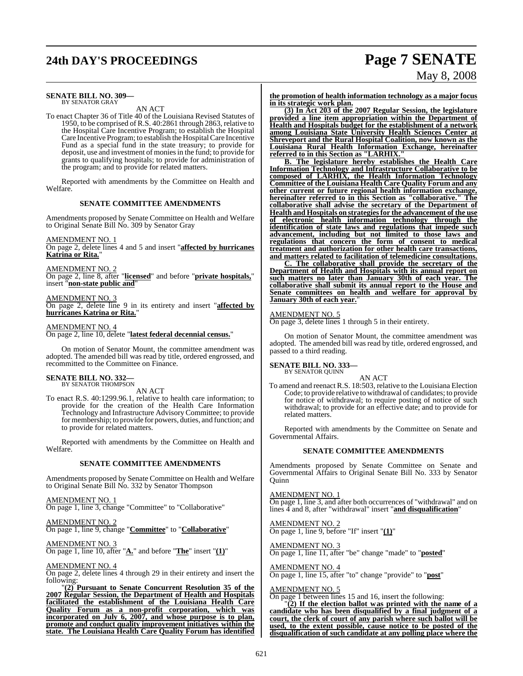# **24th DAY'S PROCEEDINGS Page 7 SENATE**

# May 8, 2008

#### **SENATE BILL NO. 309—** BY SENATOR GRAY

AN ACT

To enact Chapter 36 of Title 40 of the Louisiana Revised Statutes of 1950, to be comprised of R.S. 40:2861 through 2863, relative to the Hospital Care Incentive Program; to establish the Hospital Care Incentive Program; to establish the HospitalCare Incentive Fund as a special fund in the state treasury; to provide for deposit, use and investment of moniesin the fund; to provide for grants to qualifying hospitals; to provide for administration of the program; and to provide for related matters.

Reported with amendments by the Committee on Health and Welfare.

#### **SENATE COMMITTEE AMENDMENTS**

Amendments proposed by Senate Committee on Health and Welfare to Original Senate Bill No. 309 by Senator Gray

AMENDMENT NO. 1

On page 2, delete lines 4 and 5 and insert "**affected by hurricanes Katrina or Rita.**"

AMENDMENT NO. 2

On page 2, line 8, after "**licensed**" and before "**private hospitals,**" insert "**non-state public and**"

### AMENDMENT NO. 3

On page 2, delete line 9 in its entirety and insert "**affected by hurricanes Katrina or Rita.**"

#### AMENDMENT NO. 4

On page 2, line 10, delete "**latest federal decennial census.**"

On motion of Senator Mount, the committee amendment was adopted. The amended bill was read by title, ordered engrossed, and recommitted to the Committee on Finance.

#### **SENATE BILL NO. 332—** BY SENATOR THOMPSON

AN ACT

To enact R.S. 40:1299.96.1, relative to health care information; to provide for the creation of the Health Care Information Technology and Infrastructure Advisory Committee; to provide for membership; to provide for powers, duties, and function; and to provide for related matters.

Reported with amendments by the Committee on Health and Welfare.

#### **SENATE COMMITTEE AMENDMENTS**

Amendments proposed by Senate Committee on Health and Welfare to Original Senate Bill No. 332 by Senator Thompson

AMENDMENT NO. 1

On page 1, line 3, change "Committee" to "Collaborative"

AMENDMENT NO. 2 On page 1, line 9, change "**Committee**" to "**Collaborative**"

AMENDMENT NO. 3 On page 1, line 10, after "**A.**" and before "**The**" insert "**(1)**"

AMENDMENT NO. 4

On page 2, delete lines 4 through 29 in their entirety and insert the following:

"**(2) Pursuant to Senate Concurrent Resolution 35 of the 2007 Regular Session, the Department of Health and Hospitals facilitated the establishment of the Louisiana Health Care Quality Forum as a non-profit corporation, which was incorporated on July 6, 2007, and whose purpose is to plan, promote and conduct quality improvement initiatives within the state. The Louisiana Health Care Quality Forum has identified** **the promotion of health information technology as a major focus in its strategic work plan.**

**(3) In Act 203 of the 2007 Regular Session, the legislature provided a line item appropriation within the Department of Health and Hospitals budget for the establishment of a network among Louisiana State University Health Sciences Center at Shreveport and the Rural Hospital Coalition, now known as the Louisiana Rural Health Information Exchange, hereinafter referred to in this Section as "LARHIX."**

**B. The legislature hereby establishes the Health Care Information Technology and Infrastructure Collaborative to be composed of LARHIX, the Health Information Technology Committee of the Louisiana Health Care Quality Forum and any other current or future regional health information exchange, hereinafter referred to in this Section as "collaborative." The collaborative shall advise the secretary of the Department of Health and Hospitals on strategiesfor the advancement of the use of electronic health information technology through the identification of state laws and regulations that impede such advancement, including but not limited to those laws and regulations that concern the form of consent to medical treatment and authorization for other health care transactions, and matters related to facilitation of telemedicine consultations.**

**C. The collaborative shall provide the secretary of the Department of Health and Hospitals with its annual report on such matters no later than January 30th of each year. The collaborative shall submit its annual report to the House and Senate committees on health and welfare for approval by January 30th of each year.**"

#### AMENDMENT NO. 5

On page 3, delete lines 1 through 5 in their entirety.

On motion of Senator Mount, the committee amendment was adopted. The amended bill was read by title, ordered engrossed, and passed to a third reading.

#### **SENATE BILL NO. 333—** BY SENATOR QUINN

AN ACT

To amend and reenact R.S. 18:503, relative to the Louisiana Election Code; to provide relative to withdrawal of candidates; to provide for notice of withdrawal; to require posting of notice of such withdrawal; to provide for an effective date; and to provide for related matters.

Reported with amendments by the Committee on Senate and Governmental Affairs.

#### **SENATE COMMITTEE AMENDMENTS**

Amendments proposed by Senate Committee on Senate and Governmental Affairs to Original Senate Bill No. 333 by Senator **Ouinn** 

AMENDMENT NO. 1 On page 1, line 3, and after both occurrences of "withdrawal" and on lines 4 and 8, after "withdrawal" insert "**and disqualification**"

AMENDMENT NO. 2 On page 1, line 9, before "If" insert "**(1)**"

AMENDMENT NO. 3 On page 1, line 11, after "be" change "made" to "**posted**"

AMENDMENT NO. 4 On page 1, line 15, after "to" change "provide" to "**post**"

#### AMENDMENT NO. 5

On page 1 between lines 15 and 16, insert the following:

 $(2)$  If the election ballot was printed with the name of a **candidate who has been disqualified by a final judgment of a court, the clerk of court of any parish where such ballot will be used, to the extent possible, cause notice to be posted of the disqualification of such candidate at any polling place where the**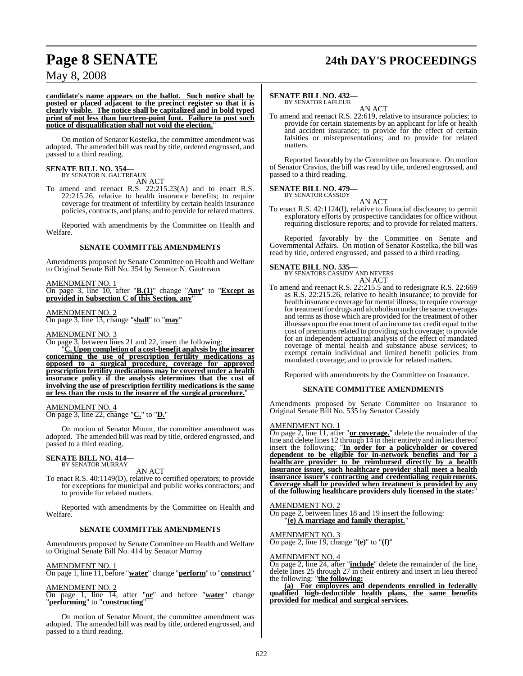# **Page 8 SENATE 24th DAY'S PROCEEDINGS**

## May 8, 2008

**candidate's name appears on the ballot. Such notice shall be posted or placed adjacent to the precinct register so that it is clearly visible. The notice shall be capitalized and in bold typed print of not less than fourteen-point font. Failure to post such notice of disqualification shall not void the election.**"

On motion of Senator Kostelka, the committee amendment was adopted. The amended bill was read by title, ordered engrossed, and passed to a third reading.

## **SENATE BILL NO. 354—**

BY SENATOR N. GAUTREAUX AN ACT

To amend and reenact R.S. 22:215.23(A) and to enact R.S. 22:215.26, relative to health insurance benefits; to require coverage for treatment of infertility by certain health insurance policies, contracts, and plans; and to provide for related matters.

Reported with amendments by the Committee on Health and Welfare.

#### **SENATE COMMITTEE AMENDMENTS**

Amendments proposed by Senate Committee on Health and Welfare to Original Senate Bill No. 354 by Senator N. Gautreaux

AMENDMENT NO. 1

On page 3, line 10, after "**B.(1)**" change "**Any**" to "**Except as provided in Subsection C of this Section, any**"

AMENDMENT NO. 2

On page 3, line 13, change "**shall**" to "**may**"

#### AMENDMENT NO. 3

On page 3, between lines 21 and 22, insert the following:

"**C. Upon completion of a cost-benefit analysis by the insurer concerning the use of prescription fertility medications as opposed to a surgical procedure, coverage for approved prescription fertility medications may be covered under a health insurance policy if the analysis determines that the cost of involving the use of prescription fertility medications is the same or less than the costs to the insurer of the surgical procedure.**"

AMENDMENT NO. 4 On page 3, line 22, change "**C.**" to "**D.**"

On motion of Senator Mount, the committee amendment was adopted. The amended bill was read by title, ordered engrossed, and passed to a third reading.

# **SENATE BILL NO. 414—** BY SENATOR MURRAY

AN ACT

To enact R.S. 40:1149(D), relative to certified operators; to provide for exceptions for municipal and public works contractors; and to provide for related matters.

Reported with amendments by the Committee on Health and Welfare.

#### **SENATE COMMITTEE AMENDMENTS**

Amendments proposed by Senate Committee on Health and Welfare to Original Senate Bill No. 414 by Senator Murray

#### AMENDMENT NO. 1

On page 1, line 11, before "**water**" change "**perform**" to "**construct**"

### AMENDMENT NO. 2

On page 1, line 14, after "**or**" and before "**water**" change "**performing**" to "**constructing**"

On motion of Senator Mount, the committee amendment was adopted. The amended bill was read by title, ordered engrossed, and passed to a third reading.

#### **SENATE BILL NO. 432—** BY SENATOR LAFLEUR

AN ACT

To amend and reenact R.S. 22:619, relative to insurance policies; to provide for certain statements by an applicant for life or health and accident insurance; to provide for the effect of certain falsities or misrepresentations; and to provide for related matters.

Reported favorably by the Committee on Insurance. On motion of Senator Cravins, the bill was read by title, ordered engrossed, and passed to a third reading.

#### **SENATE BILL NO. 479** BY SENATOR CASSIDY

AN ACT

To enact R.S. 42:1124(I), relative to financial disclosure; to permit exploratory efforts by prospective candidates for office without requiring disclosure reports; and to provide for related matters.

Reported favorably by the Committee on Senate and Governmental Affairs. On motion of Senator Kostelka, the bill was read by title, ordered engrossed, and passed to a third reading.

## **SENATE BILL NO. 535—**

BY SENATORS CASSIDY AND NEVERS AN ACT

To amend and reenact R.S. 22:215.5 and to redesignate R.S. 22:669 as R.S. 22:215.26, relative to health insurance; to provide for health insurance coverage for mental illness; to require coverage for treatment for drugs and alcoholism under the same coverages and terms as those which are provided for the treatment of other illnesses upon the enactment of an income tax credit equal to the cost of premiums related to providing such coverage; to provide for an independent actuarial analysis of the effect of mandated coverage of mental health and substance abuse services; to exempt certain individual and limited benefit policies from mandated coverage; and to provide for related matters.

Reported with amendments by the Committee on Insurance.

#### **SENATE COMMITTEE AMENDMENTS**

Amendments proposed by Senate Committee on Insurance to Original Senate Bill No. 535 by Senator Cassidy

#### AMENDMENT NO. 1

On page 2, line 11, after "**or coverage.**" delete the remainder of the line and delete lines 12 through 14 in their entirety and in lieu thereof insert the following: "**In order for a policyholder or covered dependent to be eligible for in-network benefits and for a healthcare provider to be reimbursed directly by a health insurance issuer, such healthcare provider shall meet a health insurance issuer's contracting and credentialing requirements. Coverage shall be provided when treatment is provided by any of the following healthcare providers duly licensed in the state:**"

AMENDMENT NO. 2 On page 2, between lines 18 and 19 insert the following: "**(e) A marriage and family therapist.**"

AMENDMENT NO. 3

On page 2, line 19, change "**(e)**" to "**(f)**"

#### AMENDMENT NO. 4

On page 2, line 24, after "**include**" delete the remainder of the line, delete lines 25 through 27 in their entirety and insert in lieu thereof the following: "**the following:**

**(a) For employees and dependents enrolled in federally qualified high-deductible health plans, the same benefits provided for medical and surgical services.**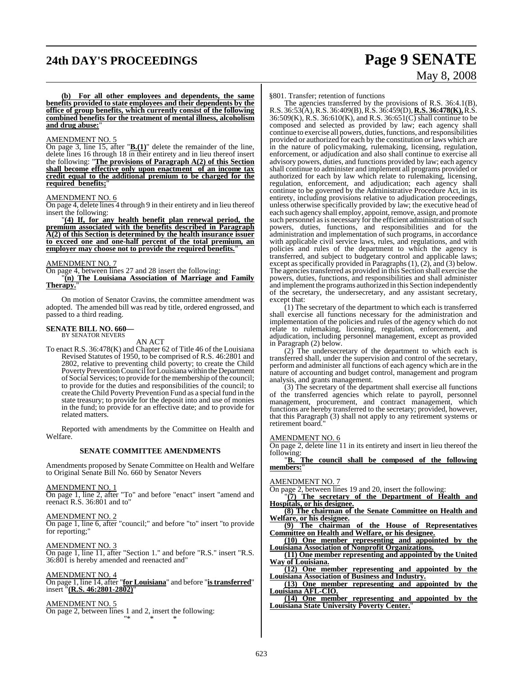# **24th DAY'S PROCEEDINGS Page 9 SENATE**

# May 8, 2008

**(b) For all other employees and dependents, the same benefits provided to state employees and their dependents by the office of group benefits, which currently consist of the following combined benefits for the treatment of mental illness, alcoholism** and drug abuse:

#### AMENDMENT NO. 5

On page 3, line 15, after "**B.(1)**" delete the remainder of the line, delete lines 16 through 18 in their entirety and in lieu thereof insert the following: "**The provisions of Paragraph A(2) of this Section shall become effective only upon enactment of an income tax credit equal to the additional premium to be charged for the** required benefits;

#### AMENDMENT NO. 6

On page 4, delete lines 4 through 9 in their entirety and in lieu thereof insert the following:

"**(4) If, for any health benefit plan renewal period, the premium associated with the benefits described in Paragraph A(2) of this Section is determined by the health insurance issuer to exceed one and one-half percent of the total premium, an employer may choose not to provide the required benefits.**"

#### AMENDMENT NO. 7

On page 4, between lines 27 and 28 insert the following:

"**(n) The Louisiana Association of Marriage and Family Therapy.**"

On motion of Senator Cravins, the committee amendment was adopted. The amended bill was read by title, ordered engrossed, and passed to a third reading.

#### **SENATE BILL NO. 660—** BY SENATOR NEVERS

AN ACT

To enact R.S. 36:478(K) and Chapter 62 of Title 46 of the Louisiana Revised Statutes of 1950, to be comprised of R.S. 46:2801 and 2802, relative to preventing child poverty; to create the Child Poverty Prevention Council for Louisiana within the Department of Social Services; to provide for the membership of the council; to provide for the duties and responsibilities of the council; to create the Child Poverty Prevention Fund as a special fund in the state treasury; to provide for the deposit into and use of monies in the fund; to provide for an effective date; and to provide for related matters.

Reported with amendments by the Committee on Health and Welfare.

#### **SENATE COMMITTEE AMENDMENTS**

Amendments proposed by Senate Committee on Health and Welfare to Original Senate Bill No. 660 by Senator Nevers

#### AMENDMENT NO. 1

On page 1, line 2, after "To" and before "enact" insert "amend and reenact R.S. 36:801 and to"

#### AMENDMENT NO. 2

On page 1, line 6, after "council;" and before "to" insert "to provide for reporting;

AMENDMENT NO. 3 On page 1, line 11, after "Section 1." and before "R.S." insert "R.S.

36:801 is hereby amended and reenacted and"

#### AMENDMENT NO. 4

On page 1, line 14, after "**for Louisiana**" and before "**istransferred**" insert "**(R.S. 46:2801-2802)**"

"\* \* \*

AMENDMENT NO. 5 On page 2, between lines 1 and 2, insert the following: §801. Transfer; retention of functions

The agencies transferred by the provisions of R.S. 36:4.1(B), R.S. 36:53(A), R.S. 36:409(B), R.S. 36:459(D), **R.S. 36:478(K),**R.S.  $36:509(K)$ , R.S.  $36:610(K)$ , and R.S.  $36:651(C)$  shall continue to be composed and selected as provided by law; each agency shall continue to exercise all powers, duties, functions, and responsibilities provided or authorized for each by the constitution or laws which are in the nature of policymaking, rulemaking, licensing, regulation, enforcement, or adjudication and also shall continue to exercise all advisory powers, duties, and functions provided by law; each agency shall continue to administer and implement all programs provided or authorized for each by law which relate to rulemaking, licensing, regulation, enforcement, and adjudication; each agency shall continue to be governed by the Administrative Procedure Act, in its entirety, including provisions relative to adjudication proceedings, unless otherwise specifically provided by law; the executive head of each such agency shall employ, appoint, remove, assign, and promote such personnel as is necessary for the efficient administration of such powers, duties, functions, and responsibilities and for the administration and implementation of such programs, in accordance with applicable civil service laws, rules, and regulations, and with policies and rules of the department to which the agency is transferred, and subject to budgetary control and applicable laws; except as specifically provided in Paragraphs (1), (2), and (3) below. The agencies transferred as provided in this Section shall exercise the powers, duties, functions, and responsibilities and shall administer and implement the programs authorized in this Section independently of the secretary, the undersecretary, and any assistant secretary, except that:

(1) The secretary of the department to which each is transferred shall exercise all functions necessary for the administration and implementation of the policies and rules of the agency which do not relate to rulemaking, licensing, regulation, enforcement, and adjudication, including personnel management, except as provided in Paragraph (2) below.

(2) The undersecretary of the department to which each is transferred shall, under the supervision and control of the secretary, perform and administer all functions of each agency which are in the nature of accounting and budget control, management and program analysis, and grants management.

(3) The secretary of the department shall exercise all functions of the transferred agencies which relate to payroll, personnel management, procurement, and contract management, which functions are hereby transferred to the secretary; provided, however, that this Paragraph (3) shall not apply to any retirement systems or retirement board."

#### AMENDMENT NO. 6

On page 2, delete line 11 in its entirety and insert in lieu thereof the following:

"**B. The council shall be composed of the following members:**"

#### AMENDMENT NO. 7

On page 2, between lines 19 and 20, insert the following:

"**(7) The secretary of the Department of Health and Hospitals, or his designee.**

**(8) The chairman of the Senate Committee on Health and Welfare, or his designee.**

**(9) The chairman of the House of Representatives Committee on Health and Welfare, or his designee.**

**(10) One member representing and appointed by the Louisiana Association of Nonprofit Organizations.**

**(11) One member representing and appointed by the United Way of Louisiana.**

**(12) One member representing and appointed by the Louisiana Association of Business and Industry.**

**(13) One member representing and appointed by the Louisiana AFL-CIO.**

**(14) One member representing and appointed by the Louisiana State University Poverty Center.**"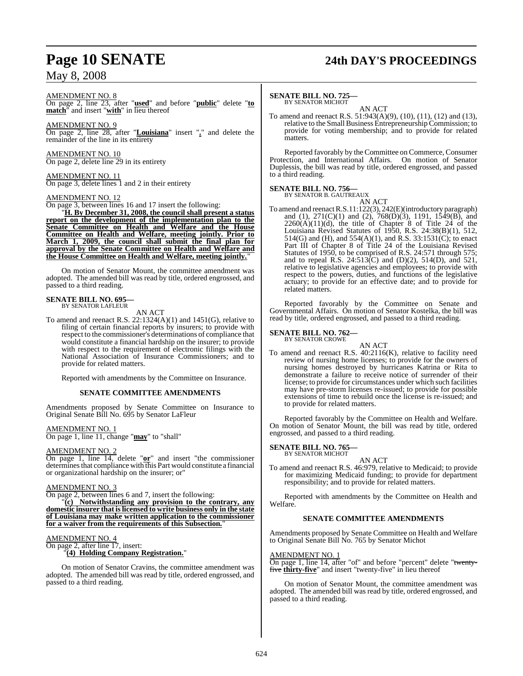# **Page 10 SENATE 24th DAY'S PROCEEDINGS**

AMENDMENT NO. 8

On page 2, line 23, after "**used**" and before "**public**" delete "**to match**" and insert "**with**" in lieu thereof

AMENDMENT NO. 9 On page 2, line 28, after "**Louisiana**" insert "**.**" and delete the remainder of the line in its entirety

AMENDMENT NO. 10 On page 2, delete line 29 in its entirety

AMENDMENT NO. 11 On page 3, delete lines 1 and 2 in their entirety

#### AMENDMENT NO. 12

On page 3, between lines 16 and 17 insert the following:

"**H. By December 31, 2008, the council shall present a status report on the development of the implementation plan to the Senate Committee on Health and Welfare and the House Committee on Health and Welfare, meeting jointly. Prior to March 1, 2009, the council shall submit the final plan for approval by the Senate Committee on Health and Welfare and the House Committee on Health and Welfare, meeting jointly.**"

On motion of Senator Mount, the committee amendment was adopted. The amended bill was read by title, ordered engrossed, and passed to a third reading.

# **SENATE BILL NO. 695—** BY SENATOR LAFLEUR

AN ACT

To amend and reenact R.S. 22:1324(A)(1) and 1451(G), relative to filing of certain financial reports by insurers; to provide with respect to the commissioner's determinations of compliance that would constitute a financial hardship on the insurer; to provide with respect to the requirement of electronic filings with the National Association of Insurance Commissioners; and to provide for related matters.

Reported with amendments by the Committee on Insurance.

#### **SENATE COMMITTEE AMENDMENTS**

Amendments proposed by Senate Committee on Insurance to Original Senate Bill No. 695 by Senator LaFleur

AMENDMENT NO. 1

On page 1, line 11, change "**may**" to "shall"

#### AMENDMENT NO. 2

On page 1, line 14, delete "**or**" and insert "the commissioner  $d$  determines that compliance with  $\overline{\text{this}}$  Part would constitute a financial or organizational hardship on the insurer; or"

### AMENDMENT NO. 3

On page 2, between lines 6 and 7, insert the following:

"**(c) Notwithstanding any provision to the contrary, any domestic insurer that islicensed to write business only in the state of Louisiana may make written application to the commissioner for a waiver from the requirements of this Subsection.**"

#### AMENDMENT NO. 4

On page 2, after line 17, insert: "**(4) Holding Company Registration.**"

On motion of Senator Cravins, the committee amendment was adopted. The amended bill was read by title, ordered engrossed, and passed to a third reading.

#### **SENATE BILL NO. 725—**

BY SENATOR MICHOT AN ACT

To amend and reenact R.S. 51:943(A)(9), (10), (11), (12) and (13), relative to the Small Business Entrepreneurship Commission; to provide for voting membership; and to provide for related matters.

Reported favorably by the Committee on Commerce, Consumer Protection, and International Affairs. On motion of Senator Duplessis, the bill was read by title, ordered engrossed, and passed to a third reading.

# **SENATE BILL NO. 756—** BY SENATOR B. GAUTREAUX

AN ACT

To amend and reenact R.S.11:122(3), 242(E)(introductory paragraph) and (1), 271(C)(1) and (2), 768(D)(3), 1191, 1549(B), and  $2260(A)(11)(d)$ , the title of Chapter 8 of Title 24 of the Louisiana Revised Statutes of 1950, R.S. 24:38(B)(1), 512, 514(G) and (H), and 554(A)(1), and R.S. 33:1531(C); to enact Part III of Chapter 8 of Title 24 of the Louisiana Revised Statutes of 1950, to be comprised of R.S. 24:571 through 575; and to repeal R.S. 24:513(C) and (D)(2), 514(D), and 521, relative to legislative agencies and employees; to provide with respect to the powers, duties, and functions of the legislative actuary; to provide for an effective date; and to provide for related matters.

Reported favorably by the Committee on Senate and Governmental Affairs. On motion of Senator Kostelka, the bill was read by title, ordered engrossed, and passed to a third reading.

#### **SENATE BILL NO. 762—** BY SENATOR CROWE

AN ACT

To amend and reenact R.S. 40:2116(K), relative to facility need review of nursing home licenses; to provide for the owners of nursing homes destroyed by hurricanes Katrina or Rita to demonstrate a failure to receive notice of surrender of their license; to provide for circumstances under which such facilities may have pre-storm licenses re-issued; to provide for possible extensions of time to rebuild once the license is re-issued; and to provide for related matters.

Reported favorably by the Committee on Health and Welfare. On motion of Senator Mount, the bill was read by title, ordered engrossed, and passed to a third reading.

#### **SENATE BILL NO. 765—** BY SENATOR MICHOT

AN ACT

To amend and reenact R.S. 46:979, relative to Medicaid; to provide for maximizing Medicaid funding; to provide for department responsibility; and to provide for related matters.

Reported with amendments by the Committee on Health and Welfare.

#### **SENATE COMMITTEE AMENDMENTS**

Amendments proposed by Senate Committee on Health and Welfare to Original Senate Bill No. 765 by Senator Michot

#### AMENDMENT NO. 1

On page 1, line 14, after "of" and before "percent" delete "twentyfive **thirty-five**" and insert "twenty-five" in lieu thereof

On motion of Senator Mount, the committee amendment was adopted. The amended bill was read by title, ordered engrossed, and passed to a third reading.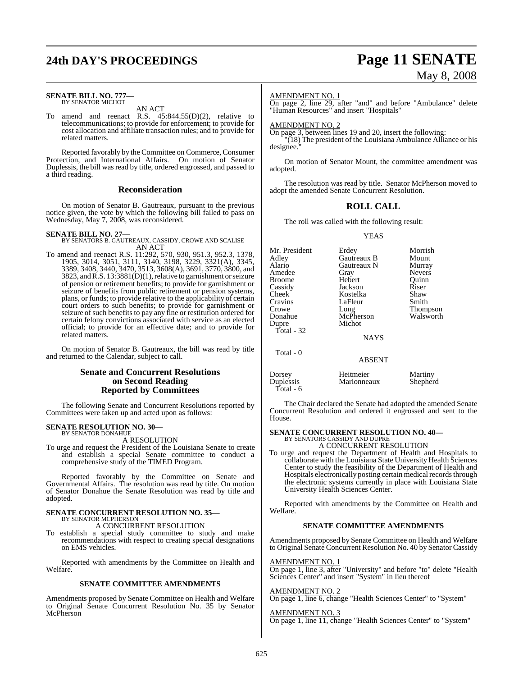# **24th DAY'S PROCEEDINGS Page 11 SENATE**

#### **SENATE BILL NO. 777—** BY SENATOR MICHOT

AN ACT

To amend and reenact R.S. 45:844.55(D)(2), relative to telecommunications; to provide for enforcement; to provide for cost allocation and affiliate transaction rules; and to provide for related matters.

Reported favorably by the Committee on Commerce, Consumer Protection, and International Affairs. On motion of Senator Duplessis, the bill was read by title, ordered engrossed, and passed to a third reading.

#### **Reconsideration**

On motion of Senator B. Gautreaux, pursuant to the previous notice given, the vote by which the following bill failed to pass on Wednesday, May 7, 2008, was reconsidered.

**SENATE BILL NO. 27—**

BY SENATORS B. GAUTREAUX, CASSIDY, CROWE AND SCALISE AN ACT

To amend and reenact R.S. 11:292, 570, 930, 951.3, 952.3, 1378, 1905, 3014, 3051, 3111, 3140, 3198, 3229, 3321(A), 3345, 3389, 3408, 3440, 3470, 3513, 3608(A), 3691, 3770, 3800, and 3823, and R.S. 13:3881(D)(1), relative to garnishment or seizure of pension or retirement benefits; to provide for garnishment or seizure of benefits from public retirement or pension systems, plans, or funds; to provide relative to the applicability of certain court orders to such benefits; to provide for garnishment or seizure of such benefits to pay any fine or restitution ordered for certain felony convictions associated with service as an elected official; to provide for an effective date; and to provide for related matters.

On motion of Senator B. Gautreaux, the bill was read by title and returned to the Calendar, subject to call.

#### **Senate and Concurrent Resolutions on Second Reading Reported by Committees**

The following Senate and Concurrent Resolutions reported by Committees were taken up and acted upon as follows:

#### **SENATE RESOLUTION NO. 30—** BY SENATOR DONAHUE

A RESOLUTION

To urge and request the President of the Louisiana Senate to create and establish a special Senate committee to conduct a comprehensive study of the TIMED Program.

Reported favorably by the Committee on Senate and Governmental Affairs. The resolution was read by title. On motion of Senator Donahue the Senate Resolution was read by title and adopted.

#### **SENATE CONCURRENT RESOLUTION NO. 35—** BY SENATOR MCPHERSON

A CONCURRENT RESOLUTION

To establish a special study committee to study and make recommendations with respect to creating special designations on EMS vehicles.

Reported with amendments by the Committee on Health and Welfare.

#### **SENATE COMMITTEE AMENDMENTS**

Amendments proposed by Senate Committee on Health and Welfare to Original Senate Concurrent Resolution No. 35 by Senator McPherson

# May 8, 2008

#### AMENDMENT NO. 1

On page 2, line 29, after "and" and before "Ambulance" delete "Human Resources" and insert "Hospitals"

#### AMENDMENT NO. 2

On page 3, between lines 19 and 20, insert the following:

"(18) The president of the Louisiana Ambulance Alliance or his designee.

On motion of Senator Mount, the committee amendment was adopted.

The resolution was read by title. Senator McPherson moved to adopt the amended Senate Concurrent Resolution.

### **ROLL CALL**

The roll was called with the following result:

#### YEAS

| Mr. President<br>Adley<br>Alario<br>Amedee<br>Broome<br>Cassidy<br>Cheek<br>Cravins<br>Crowe<br>Donahue<br>Dupre<br>Total - 32 | Erdey<br>Gautreaux B<br>Gautreaux N<br>Gray<br>Hebert<br>Jackson<br>Kostelka<br>LaFleur<br>Long<br>McPherson<br>Michot<br><b>NAYS</b> | Morrish<br>Mount<br>Murray<br><b>Nevers</b><br>Ouinn<br>Riser<br>Shaw<br>Smith<br>Thompson<br>Walsworth |
|--------------------------------------------------------------------------------------------------------------------------------|---------------------------------------------------------------------------------------------------------------------------------------|---------------------------------------------------------------------------------------------------------|
| Total - 0                                                                                                                      | <b>ABSENT</b>                                                                                                                         |                                                                                                         |
|                                                                                                                                |                                                                                                                                       |                                                                                                         |

| Dorsey      | Heitmeier   | Martiny  |
|-------------|-------------|----------|
| Duplessis   | Marionneaux | Shepherd |
| Total - $6$ |             |          |

The Chair declared the Senate had adopted the amended Senate Concurrent Resolution and ordered it engrossed and sent to the House.

# **SENATE CONCURRENT RESOLUTION NO. 40—** BY SENATORS CASSIDY AND DUPRE

A CONCURRENT RESOLUTION

To urge and request the Department of Health and Hospitals to collaborate with the Louisiana State University Health Sciences Center to study the feasibility of the Department of Health and Hospitals electronically posting certain medical records through the electronic systems currently in place with Louisiana State University Health Sciences Center.

Reported with amendments by the Committee on Health and Welfare.

#### **SENATE COMMITTEE AMENDMENTS**

Amendments proposed by Senate Committee on Health and Welfare to Original Senate Concurrent Resolution No. 40 by Senator Cassidy

#### AMENDMENT NO. 1

On page 1, line 3, after "University" and before "to" delete "Health Sciences Center" and insert "System" in lieu thereof

# AMENDMENT NO. 2

On page 1, line 6, change "Health Sciences Center" to "System"

AMENDMENT NO. 3 On page 1, line 11, change "Health Sciences Center" to "System"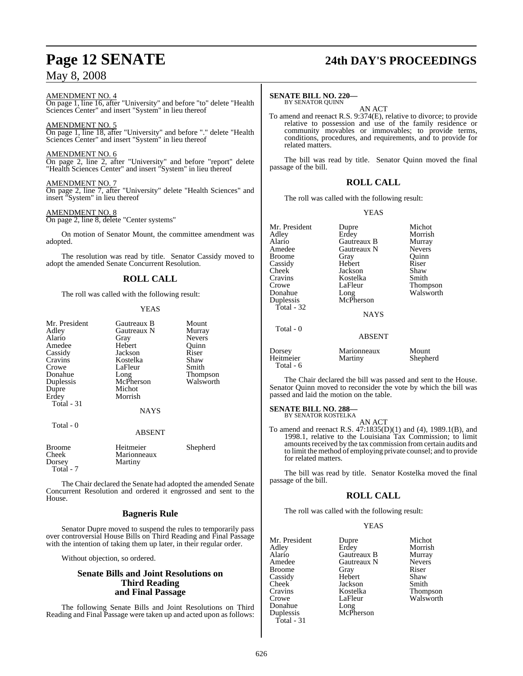# **Page 12 SENATE 24th DAY'S PROCEEDINGS**

AMENDMENT NO. 4 On page 1, line 16, after "University" and before "to" delete "Health

Sciences Center" and insert "System" in lieu thereof

AMENDMENT NO. 5

On page 1, line 18, after "University" and before "." delete "Health Sciences Center" and insert "System" in lieu thereof

AMENDMENT NO. 6

On page 2, line 2, after "University" and before "report" delete "Health Sciences Center" and insert "System" in lieu thereof

AMENDMENT NO. 7

On page 2, line 7, after "University" delete "Health Sciences" and insert "System" in lieu thereof

AMENDMENT NO. 8

On page 2, line 8, delete "Center systems"

On motion of Senator Mount, the committee amendment was adopted.

The resolution was read by title. Senator Cassidy moved to adopt the amended Senate Concurrent Resolution.

### **ROLL CALL**

The roll was called with the following result:

#### YEAS

| Mr. President<br>Adley<br>Alario<br>Amedee<br>Cassidy<br>Cravins<br>Crowe<br>Donahue<br>Duplessis<br>Dupre<br>Erdev<br>Total - 31 | Gautreaux B<br>Gautreaux N<br>Gray<br>Hebert<br>Jackson<br>Kostelka<br>LaFleur<br>Long<br>McPherson<br>Michot<br>Morrish<br><b>NAYS</b> | Mount<br>Murray<br><b>Nevers</b><br>Ouinn<br>Riser<br>Shaw<br>Smith<br><b>Thompson</b><br>Walsworth |
|-----------------------------------------------------------------------------------------------------------------------------------|-----------------------------------------------------------------------------------------------------------------------------------------|-----------------------------------------------------------------------------------------------------|
| Total - 0                                                                                                                         |                                                                                                                                         |                                                                                                     |

ABSENT

| <b>Broome</b> | Heitmeier   | Shepherd |
|---------------|-------------|----------|
| Cheek         | Marionneaux |          |
| Dorsey        | Martiny     |          |
| Total - 7     |             |          |

The Chair declared the Senate had adopted the amended Senate Concurrent Resolution and ordered it engrossed and sent to the House.

#### **Bagneris Rule**

Senator Dupre moved to suspend the rules to temporarily pass over controversial House Bills on Third Reading and Final Passage with the intention of taking them up later, in their regular order.

Without objection, so ordered.

#### **Senate Bills and Joint Resolutions on Third Reading and Final Passage**

The following Senate Bills and Joint Resolutions on Third Reading and Final Passage were taken up and acted upon as follows:

#### **SENATE BILL NO. 220—** BY SENATOR QUINN

AN ACT

To amend and reenact R.S. 9:374(E), relative to divorce; to provide relative to possession and use of the family residence or community movables or immovables; to provide terms, conditions, procedures, and requirements, and to provide for related matters.

The bill was read by title. Senator Quinn moved the final passage of the bill.

#### **ROLL CALL**

The roll was called with the following result:

YEAS

| Mr. President<br>Adley<br>Alario<br>Amedee<br><b>Broome</b><br>Cassidy<br>Cheek<br>Cravins<br>Crowe<br>Donahue<br>Duplessis<br>Total - $32$ | Dupre<br>Erdey<br>Gautreaux B<br>Gautreaux N<br>Gray<br>Hebert<br>Jackson<br>Kostelka<br>LaFleur<br>Long<br>McPherson | Michot<br>Morrish<br>Murray<br><b>Nevers</b><br>Ouinn<br>Riser<br>Shaw<br>Smith<br>Thompson<br>Walsworth |
|---------------------------------------------------------------------------------------------------------------------------------------------|-----------------------------------------------------------------------------------------------------------------------|----------------------------------------------------------------------------------------------------------|
|                                                                                                                                             | <b>NAYS</b>                                                                                                           |                                                                                                          |

Total - 0

| <b>ABSENT</b> |  |
|---------------|--|
|               |  |
|               |  |

| Dorsey    | Marionneaux | Mount    |
|-----------|-------------|----------|
| Heitmeier | Martiny     | Shepherd |
| Total - 6 |             |          |

The Chair declared the bill was passed and sent to the House. Senator Quinn moved to reconsider the vote by which the bill was passed and laid the motion on the table.

#### **SENATE BILL NO. 288—**

BY SENATOR KOSTELKA AN ACT

To amend and reenact R.S. 47:1835(D)(1) and (4), 1989.1(B), and 1998.1, relative to the Louisiana Tax Commission; to limit amounts received by the tax commission from certain audits and to limit the method of employing private counsel; and to provide for related matters.

The bill was read by title. Senator Kostelka moved the final passage of the bill.

#### **ROLL CALL**

The roll was called with the following result:

#### **YEAS**

| Mr. President | Dupre       | Michot          |
|---------------|-------------|-----------------|
| Adley         | Erdey       | Morrish         |
| Alario        | Gautreaux B | Murray          |
| Amedee        | Gautreaux N | <b>Nevers</b>   |
| <b>Broome</b> | Gray        | Riser           |
| Cassidy       | Hebert      | Shaw            |
| Cheek         | Jackson     | Smith           |
| Cravins       | Kostelka    | <b>Thompson</b> |
| Crowe         | LaFleur     | Walsworth       |
| Donahue       | Long        |                 |
| Duplessis     | McPherson   |                 |
| Total - 31    |             |                 |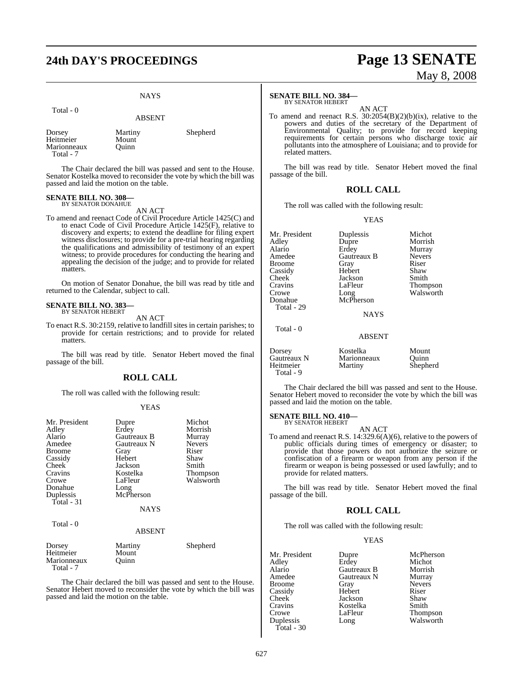## NAYS

| Total - 0                                       | <b>ABSENT</b>             |          |
|-------------------------------------------------|---------------------------|----------|
| Dorsey<br>Heitmeier<br>Marionneaux<br>Total - 7 | Martiny<br>Mount<br>Ouinn | Shepherd |

The Chair declared the bill was passed and sent to the House. Senator Kostelka moved to reconsider the vote by which the bill was passed and laid the motion on the table.

#### **SENATE BILL NO. 308—** BY SENATOR DONAHUE

AN ACT

To amend and reenact Code of Civil Procedure Article 1425(C) and to enact Code of Civil Procedure Article 1425(F), relative to discovery and experts; to extend the deadline for filing expert witness disclosures; to provide for a pre-trial hearing regarding the qualifications and admissibility of testimony of an expert witness; to provide procedures for conducting the hearing and appealing the decision of the judge; and to provide for related matters.

On motion of Senator Donahue, the bill was read by title and returned to the Calendar, subject to call.

#### **SENATE BILL NO. 383—** BY SENATOR HEBERT

AN ACT

To enact R.S. 30:2159, relative to landfill sites in certain parishes; to provide for certain restrictions; and to provide for related matters.

The bill was read by title. Senator Hebert moved the final passage of the bill.

#### **ROLL CALL**

The roll was called with the following result:

#### YEAS

| Mr. President<br>Adley<br>Alario<br>Amedee<br>Broome<br>Cassidy<br><b>Cheek</b><br>Cravins<br>Crowe<br>Donahue<br>Duplessis<br>Total - 31<br>Total - 0 | Dupre<br>Erdey<br>Gautreaux B<br>Gautreaux N<br>Gray<br>Hebert<br>Jackson<br>Kostelka<br>LaFleur<br>Long<br>McPherson<br><b>NAYS</b> | Michot<br>Morrish<br>Murray<br><b>Nevers</b><br>Riser<br>Shaw<br>Smith<br>Thompson<br>Walsworth |
|--------------------------------------------------------------------------------------------------------------------------------------------------------|--------------------------------------------------------------------------------------------------------------------------------------|-------------------------------------------------------------------------------------------------|
|                                                                                                                                                        | <b>ABSENT</b>                                                                                                                        |                                                                                                 |
| Dorsey<br>Heitmeier<br>Marionneaux<br>Total - 7                                                                                                        | Martiny<br>Mount<br>Ouinn                                                                                                            | Shepherd                                                                                        |

The Chair declared the bill was passed and sent to the House. Senator Hebert moved to reconsider the vote by which the bill was passed and laid the motion on the table.

# **24th DAY'S PROCEEDINGS Page 13 SENATE** May 8, 2008

#### **SENATE BILL NO. 384—** BY SENATOR HEBERT

AN ACT

To amend and reenact R.S. 30:2054(B)(2)(b)(ix), relative to the powers and duties of the secretary of the Department of Environmental Quality; to provide for record keeping requirements for certain persons who discharge toxic air pollutants into the atmosphere of Louisiana; and to provide for related matters.

The bill was read by title. Senator Hebert moved the final passage of the bill.

#### **ROLL CALL**

The roll was called with the following result:

YEAS

| Mr. President<br>Adlev<br>Alario<br>Amedee<br>Broome<br>Cassidy<br>Cheek<br>Cravins<br>Crowe<br>Donahue | Duplessis<br>Dupre<br>Erdey<br>Gautreaux B<br>Gray<br>Hebert<br>Jackson<br>LaFleur<br>Long<br>McPherson | Michot<br>Morrish<br>Murray<br><b>Nevers</b><br>Riser<br>Shaw<br>Smith<br>Thompson<br>Walsworth |
|---------------------------------------------------------------------------------------------------------|---------------------------------------------------------------------------------------------------------|-------------------------------------------------------------------------------------------------|
|                                                                                                         |                                                                                                         |                                                                                                 |
| Total - 29                                                                                              |                                                                                                         |                                                                                                 |
|                                                                                                         | <b>NAYS</b>                                                                                             |                                                                                                 |
| Total - 0                                                                                               |                                                                                                         |                                                                                                 |
|                                                                                                         | <b>ABSENT</b>                                                                                           |                                                                                                 |

| Dorsey      | Kostelka    | Mount    |
|-------------|-------------|----------|
| Gautreaux N | Marionneaux | Ouinn    |
| Heitmeier   | Martiny     | Shepherd |
| Total - 9   |             |          |

The Chair declared the bill was passed and sent to the House. Senator Hebert moved to reconsider the vote by which the bill was passed and laid the motion on the table.

#### **SENATE BILL NO. 410—** BY SENATOR HEBERT

AN ACT To amend and reenact R.S. 14:329.6(A)(6), relative to the powers of public officials during times of emergency or disaster; to provide that those powers do not authorize the seizure or confiscation of a firearm or weapon from any person if the firearm or weapon is being possessed or used lawfully; and to provide for related matters.

The bill was read by title. Senator Hebert moved the final passage of the bill.

#### **ROLL CALL**

The roll was called with the following result:

#### YEAS

Mr. President Dupre McPherson<br>Adley Erdey Michot Adley Erdey Michot Alario Gautreaux B Morrish Gautreaux N Murray<br>Grav Nevers Broome Gray<br>Cassidy Hebert Cassidy Hebert Riser<br>Cheek Jackson Shaw Cheek Jackson Shaw<br>Cravins Kostelka Smith Cravins Kostelka<br>Crowe LaFleur Crowe LaFleur Thompson<br>
Duplessis Long Walsworth Total - 30

Long Walsworth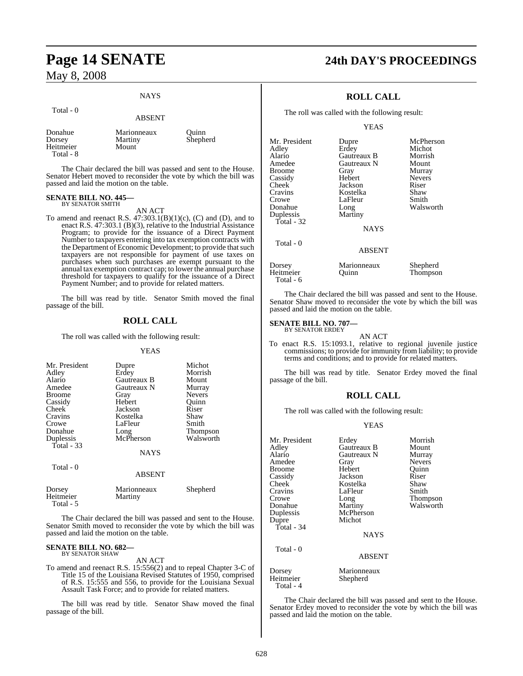# **Page 14 SENATE 24th DAY'S PROCEEDINGS** May 8, 2008

#### **NAYS**

|                                             | <b>ABSENT</b>                   |                   |
|---------------------------------------------|---------------------------------|-------------------|
| Donahue<br>Dorsey<br>Heitmeier<br>Total - 8 | Marionneaux<br>Martiny<br>Mount | Ouinn<br>Shepherd |

The Chair declared the bill was passed and sent to the House. Senator Hebert moved to reconsider the vote by which the bill was passed and laid the motion on the table.

#### **SENATE BILL NO. 445—** BY SENATOR SMITH

Total - 0

AN ACT

To amend and reenact R.S.  $47:303.1(B)(1)(c)$ , (C) and (D), and to enact R.S. 47:303.1 (B)(3), relative to the Industrial Assistance Program; to provide for the issuance of a Direct Payment Number to taxpayers entering into tax exemption contracts with the Department of Economic Development; to provide that such taxpayers are not responsible for payment of use taxes on purchases when such purchases are exempt pursuant to the annual tax exemption contract cap; to lower the annual purchase threshold for taxpayers to qualify for the issuance of a Direct Payment Number; and to provide for related matters.

The bill was read by title. Senator Smith moved the final passage of the bill.

### **ROLL CALL**

The roll was called with the following result:

#### YEAS

| Mr. President<br>Adley<br>Alario<br>Amedee<br><b>Broome</b><br>Cassidy<br>Cheek<br>Cravins<br>Crowe<br>Donahue<br>Duplessis<br>Total - 33 | Dupre<br>Erdey<br>Gautreaux B<br>Gautreaux N<br>Gray<br>Hebert<br>Jackson<br>Kostelka<br>LaFleur<br>Long<br>McPherson | Michot<br>Morrish<br>Mount<br>Murray<br><b>Nevers</b><br>Ouinn<br>Riser<br>Shaw<br>Smith<br>Thompson<br>Walsworth |
|-------------------------------------------------------------------------------------------------------------------------------------------|-----------------------------------------------------------------------------------------------------------------------|-------------------------------------------------------------------------------------------------------------------|
|                                                                                                                                           | <b>NAYS</b>                                                                                                           |                                                                                                                   |
| Total - 0                                                                                                                                 | <b>ABSENT</b>                                                                                                         |                                                                                                                   |
| Dorsey<br>Heitmeier                                                                                                                       | Marionneaux<br>Martiny                                                                                                | Shepherd                                                                                                          |

Total - 5

The Chair declared the bill was passed and sent to the House. Senator Smith moved to reconsider the vote by which the bill was passed and laid the motion on the table.

#### **SENATE BILL NO. 682—** BY SENATOR SHAW

AN ACT

To amend and reenact R.S. 15:556(2) and to repeal Chapter 3-C of Title 15 of the Louisiana Revised Statutes of 1950, comprised of R.S. 15:555 and 556, to provide for the Louisiana Sexual Assault Task Force; and to provide for related matters.

The bill was read by title. Senator Shaw moved the final passage of the bill.

## **ROLL CALL**

The roll was called with the following result:

YEAS

| Mr. President | Dupre         | McPherson     |
|---------------|---------------|---------------|
| Adley         | Erdey         | Michot        |
| Alario        | Gautreaux B   | Morrish       |
| Amedee        | Gautreaux N   | Mount         |
| <b>Broome</b> | Gray          | Murray        |
| Cassidy       | Hebert        | <b>Nevers</b> |
| Cheek         | Jackson       | Riser         |
| Cravins       | Kostelka      | Shaw          |
| Crowe         | LaFleur       | Smith         |
| Donahue       | Long          | Walsworth     |
| Duplessis     | Martiny       |               |
| Total - 32    |               |               |
|               | <b>NAYS</b>   |               |
| Total - 0     |               |               |
|               | <b>ABSENT</b> |               |
| Dorsey        | Marionneaux   | Shepherd      |
| Heitmeier     | Ouinn         | Thompson      |

The Chair declared the bill was passed and sent to the House. Senator Shaw moved to reconsider the vote by which the bill was passed and laid the motion on the table.

Thompson

#### **SENATE BILL NO. 707—** BY SENATOR ERDEY

Total - 6

AN ACT

To enact R.S. 15:1093.1, relative to regional juvenile justice commissions; to provide for immunity from liability; to provide terms and conditions; and to provide for related matters.

The bill was read by title. Senator Erdey moved the final passage of the bill.

#### **ROLL CALL**

The roll was called with the following result:

#### YEAS

| Mr. President | Erdey         | Morrish       |
|---------------|---------------|---------------|
| Adley         | Gautreaux B   | Mount         |
| Alario        | Gautreaux N   | Murray        |
| Amedee        | Gray          | <b>Nevers</b> |
| <b>Broome</b> | Hebert        | Quinn         |
| Cassidy       | Jackson       | Riser         |
| Cheek         | Kostelka      | Shaw          |
| Cravins       | LaFleur       | Smith         |
| Crowe         | Long          | Thompson      |
| Donahue       | Martiny       | Walsworth     |
| Duplessis     | McPherson     |               |
| Dupre         | Michot        |               |
| Total - 34    |               |               |
|               | <b>NAYS</b>   |               |
| Total - 0     |               |               |
|               | <b>ABSENT</b> |               |
| Dorsey        | Marionneaux   |               |
| Heitmeier     | Shepherd      |               |

The Chair declared the bill was passed and sent to the House. Senator Erdey moved to reconsider the vote by which the bill was passed and laid the motion on the table.

Total - 4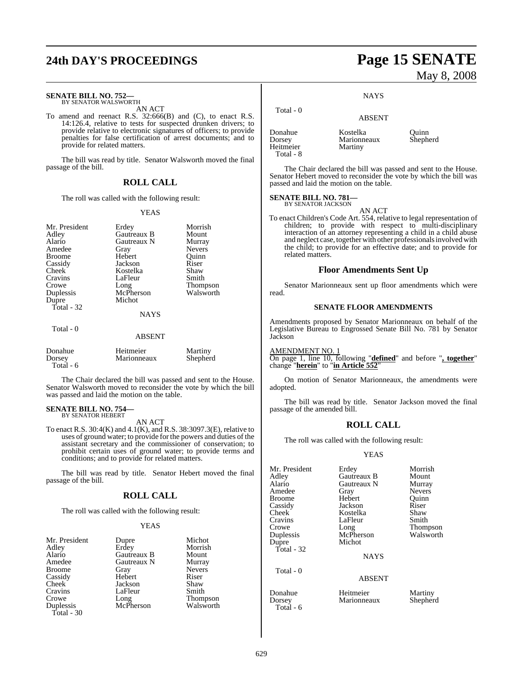# **SENATE BILL NO. 752—** BY SENATOR WALSWORTH

AN ACT

To amend and reenact R.S. 32:666(B) and (C), to enact R.S. 14:126.4, relative to tests for suspected drunken drivers; to provide relative to electronic signatures of officers; to provide penalties for false certification of arrest documents; and to provide for related matters.

The bill was read by title. Senator Walsworth moved the final passage of the bill.

#### **ROLL CALL**

The roll was called with the following result:

#### YEAS

| Mr. President<br>Adley<br>Alario<br>Amedee<br><b>Broome</b><br>Cassidy<br>Cheek<br>Cravins<br>Crowe<br>Duplessis<br>Dupre<br>Total $-32$ | Erdey<br>Gautreaux B<br>Gautreaux N<br>Gray<br>Hebert<br>Jackson<br>Kostelka<br>LaFleur<br>Long<br>McPherson<br>Michot<br><b>NAYS</b> | Morrish<br>Mount<br>Murray<br><b>Nevers</b><br>Ouinn<br>Riser<br>Shaw<br>Smith<br>Thompson<br>Walsworth |
|------------------------------------------------------------------------------------------------------------------------------------------|---------------------------------------------------------------------------------------------------------------------------------------|---------------------------------------------------------------------------------------------------------|
| Total - 0                                                                                                                                | <b>ABSENT</b>                                                                                                                         |                                                                                                         |
| Donahue<br>Dorsey<br>Total - 6                                                                                                           | Heitmeier<br>Marionneaux                                                                                                              | Martiny<br>Shepherd                                                                                     |

The Chair declared the bill was passed and sent to the House. Senator Walsworth moved to reconsider the vote by which the bill was passed and laid the motion on the table.

#### **SENATE BILL NO. 754—** BY SENATOR HEBERT

AN ACT

To enact R.S. 30:4(K) and 4.1(K), and R.S. 38:3097.3(E), relative to uses of ground water; to provide for the powers and duties of the assistant secretary and the commissioner of conservation; to prohibit certain uses of ground water; to provide terms and conditions; and to provide for related matters.

The bill was read by title. Senator Hebert moved the final passage of the bill.

#### **ROLL CALL**

The roll was called with the following result:

#### YEAS

| Mr. President | Dupre       | Michot          |
|---------------|-------------|-----------------|
| Adley         | Erdey       | Morrish         |
| Alario        | Gautreaux B | Mount           |
| Amedee        | Gautreaux N | Murray          |
| <b>Broome</b> | Gray        | <b>Nevers</b>   |
| Cassidy       | Hebert      | Riser           |
| Cheek         | Jackson     | Shaw            |
| Cravins       | LaFleur     | Smith           |
| Crowe         | Long        | <b>Thompson</b> |
| Duplessis     | McPherson   | Walsworth       |
| Total - $30$  |             |                 |

# **24th DAY'S PROCEEDINGS Page 15 SENATE**

**NAYS** 

## ABSENT

Marionneaux<br>Martiny

Donahue Kostelka Quinn Heitmeier Total - 8

Total - 0

The Chair declared the bill was passed and sent to the House. Senator Hebert moved to reconsider the vote by which the bill was passed and laid the motion on the table.

#### **SENATE BILL NO. 781** BY SENATOR JACKSON

AN ACT

To enact Children's Code Art. 554, relative to legal representation of children; to provide with respect to multi-disciplinary interaction of an attorney representing a child in a child abuse and neglect case, together with other professionals involved with the child; to provide for an effective date; and to provide for related matters.

#### **Floor Amendments Sent Up**

Senator Marionneaux sent up floor amendments which were read.

#### **SENATE FLOOR AMENDMENTS**

Amendments proposed by Senator Marionneaux on behalf of the Legislative Bureau to Engrossed Senate Bill No. 781 by Senator Jackson

AMENDMENT NO. 1

On page 1, line 10, following "**defined**" and before "**, together**" change "**herein**" to "**in Article 552**"

On motion of Senator Marionneaux, the amendments were adopted.

The bill was read by title. Senator Jackson moved the final passage of the amended bill.

#### **ROLL CALL**

The roll was called with the following result:

#### YEAS

| Mr. President<br>Adley<br>Alario<br>Amedee<br>Broome<br>Cassidy<br>Cheek<br>Cravins<br>Crowe<br>Duplessis<br>Dupre<br>Total - 32 | Erdey<br>Gautreaux B<br>Gautreaux N<br>Gray<br>Hebert<br>Jackson<br>Kostelka<br>LaFleur<br>Long<br>McPherson<br>Michot<br><b>NAYS</b> | Morrish<br>Mount<br>Murray<br><b>Nevers</b><br>Ouinn<br>Riser<br>Shaw<br>Smith<br>Thompson<br>Walsworth |
|----------------------------------------------------------------------------------------------------------------------------------|---------------------------------------------------------------------------------------------------------------------------------------|---------------------------------------------------------------------------------------------------------|
| Total - 0                                                                                                                        | <b>ABSENT</b>                                                                                                                         |                                                                                                         |

Donahue Heitmeier Martiny Dorsey Marionneaux

Total - 6

# May 8, 2008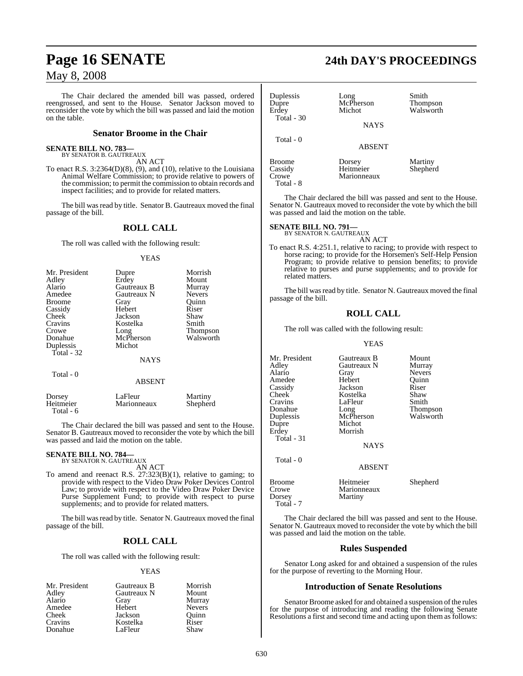The Chair declared the amended bill was passed, ordered reengrossed, and sent to the House. Senator Jackson moved to reconsider the vote by which the bill was passed and laid the motion on the table.

#### **Senator Broome in the Chair**

#### **SENATE BILL NO. 783—** BY SENATOR B. GAUTREAUX

AN ACT

To enact R.S.  $3:2364(D)(8)$ , (9), and (10), relative to the Louisiana Animal Welfare Commission; to provide relative to powers of the commission; to permit the commission to obtain records and inspect facilities; and to provide for related matters.

The bill was read by title. Senator B. Gautreaux moved the final passage of the bill.

#### **ROLL CALL**

The roll was called with the following result:

#### YEAS

| Mr. President<br>Adley<br>Alario<br>Amedee<br><b>Broome</b><br>Cassidy<br>Cheek<br>Cravins<br>Crowe<br>Donahue<br>Duplessis<br>Total - 32 | Dupre<br>Erdey<br>Gautreaux B<br>Gautreaux N<br>Gray<br>Hebert<br>Jackson<br>Kostelka<br>Long<br>McPherson<br>Michot | Morrish<br>Mount<br>Murray<br><b>Nevers</b><br>Ouinn<br>Riser<br>Shaw<br>Smith<br>Thompson<br>Walsworth |
|-------------------------------------------------------------------------------------------------------------------------------------------|----------------------------------------------------------------------------------------------------------------------|---------------------------------------------------------------------------------------------------------|
|                                                                                                                                           | <b>NAYS</b>                                                                                                          |                                                                                                         |
| Total - 0                                                                                                                                 | ABSENT                                                                                                               |                                                                                                         |

| Dorsey    | LaFleur     | Martiny  |
|-----------|-------------|----------|
| Heitmeier | Marionneaux | Shepherd |
| Total - 6 |             |          |

The Chair declared the bill was passed and sent to the House. Senator B. Gautreaux moved to reconsider the vote by which the bill was passed and laid the motion on the table.

#### **SENATE BILL NO. 784—**

BY SENATOR N. GAUTREAUX AN ACT

To amend and reenact R.S. 27:323(B)(1), relative to gaming; to provide with respect to the Video Draw Poker Devices Control Law; to provide with respect to the Video Draw Poker Device Purse Supplement Fund; to provide with respect to purse supplements; and to provide for related matters.

The bill was read by title. Senator N. Gautreaux moved the final passage of the bill.

#### **ROLL CALL**

The roll was called with the following result:

#### YEAS

| Mr. President | Gautreaux B | Morrish       |
|---------------|-------------|---------------|
| Adley         | Gautreaux N | Mount         |
| Alario        | Gray        | Murray        |
| Amedee        | Hebert      | <b>Nevers</b> |
| Cheek         | Jackson     | Ouinn         |
| Cravins       | Kostelka    | Riser         |
| Donahue       | LaFleur     | Shaw          |

# **Page 16 SENATE 24th DAY'S PROCEEDINGS**

| Duplessis<br>Dupre<br>Erdev<br>Total - 30 | Long<br>McPherson<br>Michot<br><b>NAYS</b> | Smith<br><b>Thompson</b><br>Walsworth |
|-------------------------------------------|--------------------------------------------|---------------------------------------|
| Total $-0$                                | <b>ABSENT</b>                              |                                       |
| Broome<br>Cassidy                         | Dorsey<br>Heitmeier                        | Martiny<br>Shepherd                   |

Crowe Marionneaux Total - 8

The Chair declared the bill was passed and sent to the House. Senator N. Gautreaux moved to reconsider the vote by which the bill was passed and laid the motion on the table.

# **SENATE BILL NO. 791—** BY SENATOR N. GAUTREAUX

AN ACT

To enact R.S. 4:251.1, relative to racing; to provide with respect to horse racing; to provide for the Horsemen's Self-Help Pension Program; to provide relative to pension benefits; to provide relative to purses and purse supplements; and to provide for related matters.

The bill was read by title. Senator N. Gautreaux moved the final passage of the bill.

#### **ROLL CALL**

The roll was called with the following result:

#### YEAS

Mr. President Gautreaux B Mount<br>Adley Gautreaux N Murray Gautreaux N Alario Gray Nevers<br>Amedee Hebert Quinn Amedee Hebert Quinr<br>
Cassidy Jackson Riser Cassidy Jackson Riser Cheek Kostelka Shaw<br>Cravins LaFleur Smith Cravins LaFleur<br>Donahue Long Donahue Long Thompson<br>
Duplessis McPherson Walsworth Duplessis McPherson<br>Dupre Michot Michot Erdey Morrish Total - 31 NAYS Total - 0 ABSENT Broome Heitmeier Shepherd<br>Crowe Marionneaux Crowe Marionneaux<br>
Dorsey Martiny

**Martiny** 

 Total - 7 The Chair declared the bill was passed and sent to the House. Senator N. Gautreaux moved to reconsider the vote by which the bill was passed and laid the motion on the table.

#### **Rules Suspended**

Senator Long asked for and obtained a suspension of the rules for the purpose of reverting to the Morning Hour.

#### **Introduction of Senate Resolutions**

Senator Broome asked for and obtained a suspension of the rules for the purpose of introducing and reading the following Senate Resolutions a first and second time and acting upon them as follows: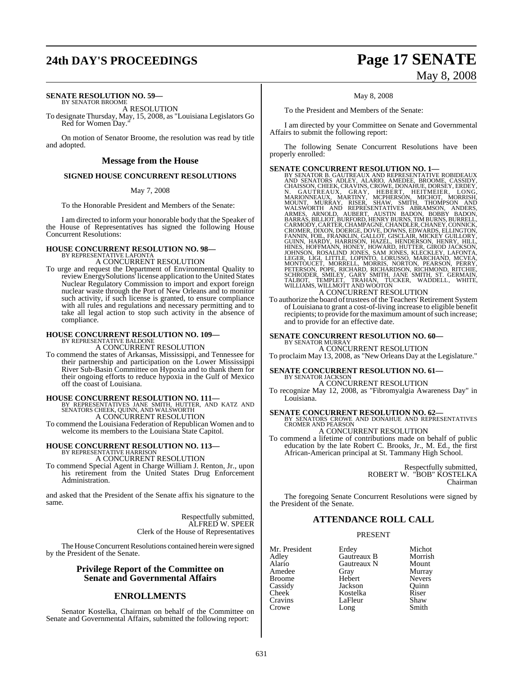# **24th DAY'S PROCEEDINGS Page 17 SENATE**

#### **SENATE RESOLUTION NO. 59—** BY SENATOR BROOME

A RESOLUTION

To designate Thursday, May, 15, 2008, as "Louisiana Legislators Go Red for Women Day.

On motion of Senator Broome, the resolution was read by title and adopted.

#### **Message from the House**

#### **SIGNED HOUSE CONCURRENT RESOLUTIONS**

May 7, 2008

To the Honorable President and Members of the Senate:

I am directed to inform your honorable body that the Speaker of the House of Representatives has signed the following House Concurrent Resolutions:

#### **HOUSE CONCURRENT RESOLUTION NO. 98—**

BY REPRESENTATIVE LAFONTA

A CONCURRENT RESOLUTION To urge and request the Department of Environmental Quality to reviewEnergySolutions' license application to the United States Nuclear Regulatory Commission to import and export foreign nuclear waste through the Port of New Orleans and to monitor such activity, if such license is granted, to ensure compliance with all rules and regulations and necessary permitting and to take all legal action to stop such activity in the absence of compliance.

# **HOUSE CONCURRENT RESOLUTION NO. 109—** BY REPRESENTATIVE BALDONE

A CONCURRENT RESOLUTION

To commend the states of Arkansas, Mississippi, and Tennessee for their partnership and participation on the Lower Mississippi River Sub-Basin Committee on Hypoxia and to thank them for their ongoing efforts to reduce hypoxia in the Gulf of Mexico off the coast of Louisiana.

#### **HOUSE CONCURRENT RESOLUTION NO. 111—**

BY REPRESENTATIVES JANE SMITH, HUTTER, AND KATZ AND SENATORS CHEEK, QUINN, AND WALSWORTH A CONCURRENT RESOLUTION

To commend the Louisiana Federation of Republican Women and to welcome its members to the Louisiana State Capitol.

# **HOUSE CONCURRENT RESOLUTION NO. 113—** BY REPRESENTATIVE HARRISON

A CONCURRENT RESOLUTION

To commend Special Agent in Charge William J. Renton, Jr., upon his retirement from the United States Drug Enforcement Administration.

and asked that the President of the Senate affix his signature to the same.

> Respectfully submitted, ALFRED W. SPEER Clerk of the House of Representatives

The House Concurrent Resolutions contained herein were signed by the President of the Senate.

#### **Privilege Report of the Committee on Senate and Governmental Affairs**

#### **ENROLLMENTS**

Senator Kostelka, Chairman on behalf of the Committee on Senate and Governmental Affairs, submitted the following report:

# May 8, 2008

May 8, 2008

To the President and Members of the Senate:

I am directed by your Committee on Senate and Governmental Affairs to submit the following report:

The following Senate Concurrent Resolutions have been properly enrolled:

**SENATE CONCURRENT RESOLUTION NO. 1—**<br>BY SENATOR B. GAUTREAUX AND REPRESENTATIVE ROBIDEAUX<br>AND SENATORS ADLEY, ALARIO, AMEDEE, BROOME, CASSIDY,<br>CHAISSON, CHEEK, CRAYINS, CROYE, DONAHUE, DORSEY, ERDEY,<br>N. GAUTREAUX, GRAY, H

A CONCURRENT RESOLUTION<br>To authorize the board of trustees of the Teachers' Retirement System of Louisiana to grant a cost-of-living increase to eligible benefit recipients; to provide for the maximum amount of such increase; and to provide for an effective date.

#### **SENATE CONCURRENT RESOLUTION NO. 60—** BY SENATOR MURRAY

A CONCURRENT RESOLUTION

To proclaim May 13, 2008, as "New Orleans Day at the Legislature."

# **SENATE CONCURRENT RESOLUTION NO. 61—** BY SENATOR JACKSON

A CONCURRENT RESOLUTION

To recognize May 12, 2008, as "Fibromyalgia Awareness Day" in Louisiana.

**SENATE CONCURRENT RESOLUTION NO. 62—**<br>BY SENATORS CROWE AND DONAHUE AND REPRESENTATIVES<br>CROMER AND PEARSON

A CONCURRENT RESOLUTION To commend a lifetime of contributions made on behalf of public education by the late Robert C. Brooks, Jr., M. Ed., the first African-American principal at St. Tammany High School.

> Respectfully submitted, ROBERT W. "BOB" KOSTELKA Chairman

The foregoing Senate Concurrent Resolutions were signed by the President of the Senate.

#### **ATTENDANCE ROLL CALL**

#### PRESENT

Mr. President Erdey Michot<br>Adley Gautreaux B Morrish Adley Gautreaux B Morrish Alario Gautreaux N<br>Amedee Grav Broome Hebert Nevers<br>
Cassidy Jackson Quinn Cassidy Jackson<br>Cheek Kostelka Cravins LaFleur Shaw<br>Crowe Long Smith Crowe

Gray Murray<br>Hebert Nevers Kostelka Riser<br>LaFleur Shaw